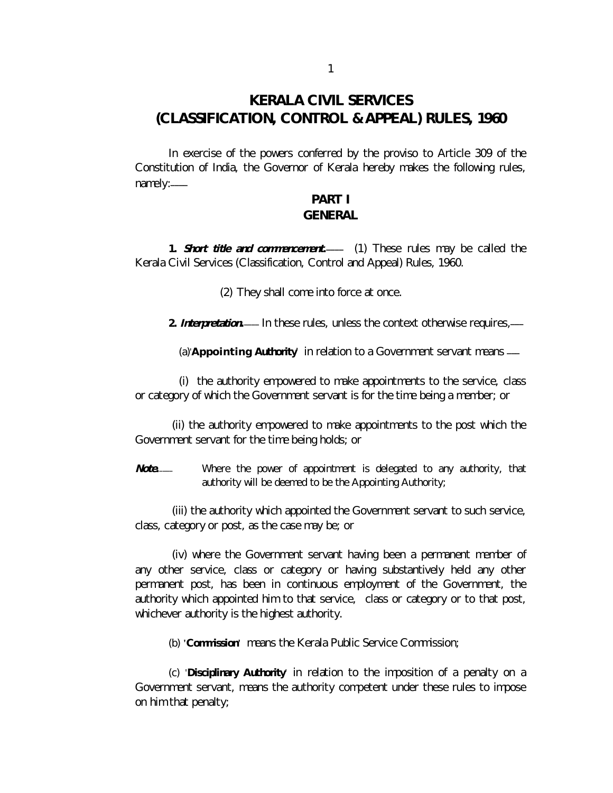# **KERALA CIVIL SERVICES (CLASSIFICATION, CONTROL & APPEAL) RULES, 1960**

In exercise of the powers conferred by the proviso to Article 309 of the Constitution of India, the Governor of Kerala hereby makes the following rules, namely:*\_\_\_\_* 

# **PART I GENERAL**

1. **Short title and commencement**. (1) These rules may be called the Kerala Civil Services (Classification, Control and Appeal) Rules, 1960.

(2) They shall come into force at once.

2. Interpretation. --- In these rules, unless the context otherwise requires, ---

(a)'**Appointing Authority**' in relation to a Government servant means *\_\_\_* 

 (i) the authority empowered to make appointments to the service, class or category of which the Government servant is for the time being a member; or

(ii) the authority empowered to make appointments to the post which the Government servant for the time being holds; or

*Note.* Where the power of appointment is delegated to any authority, that authority will be deemed to be the Appointing Authority;

(iii) the authority which appointed the Government servant to such service, class, category or post, as the case may be; or

(iv) where the Government servant having been a permanent member of any other service, class or category or having substantively held any other permanent post, has been in continuous employment of the Government, the authority which appointed him to that service, class or category or to that post, whichever authority is the highest authority.

(b) **'Commission'** means the Kerala Public Service Commission;

(c) '**Disciplinary Authority**' in relation to the imposition of a penalty on a Government servant, means the authority competent under these rules to impose on him that penalty;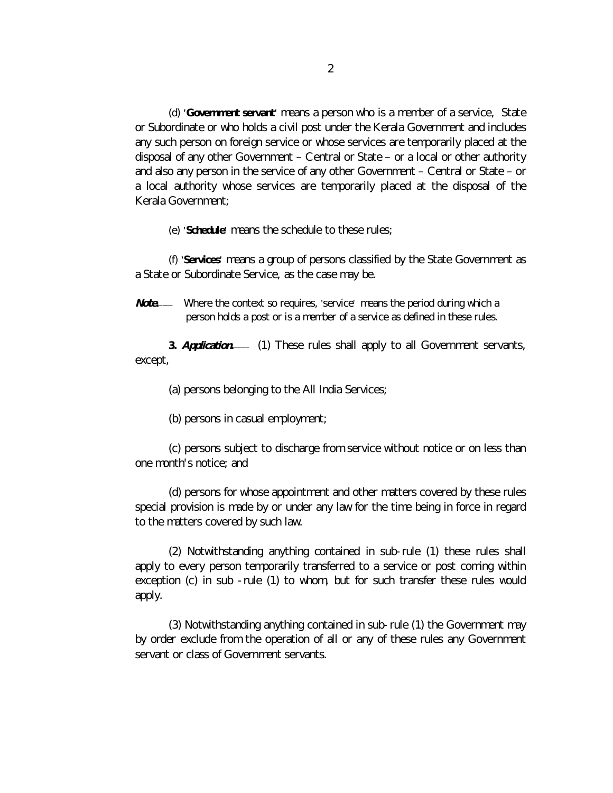(d) **'Government servant'** means a person who is a member of a service, State or Subordinate or who holds a civil post under the Kerala Government and includes any such person on foreign service or whose services are temporarily placed at the disposal of any other Government – Central or State – or a local or other authority and also any person in the service of any other Government – Central or State – or a local authority whose services are temporarily placed at the disposal of the Kerala Government;

(e) **'Schedule'** means the schedule to these rules;

(f) **'Services'** means a group of persons classified by the State Government as a State or Subordinate Service, as the case may be.

*Note*<sub>*-*</sub> Where the context so requires, 'service' means the period during which a person holds a post or is a member of a service as defined in these rules.

**3.** *Application. \_\_\_\_* (1) These rules shall apply to all Government servants, except,

(a) persons belonging to the All India Services;

(b) persons in casual employment;

(c) persons subject to discharge from service without notice or on less than one month's notice; and

(d) persons for whose appointment and other matters covered by these rules special provision is made by or under any law for the time being in force in regard to the matters covered by such law.

(2) Notwithstanding anything contained in sub-rule (1) these rules shall apply to every person temporarily transferred to a service or post coming within exception (c) in sub -rule (1) to whom, but for such transfer these rules would apply.

(3) Notwithstanding anything contained in sub-rule (1) the Government may by order exclude from the operation of all or any of these rules any Government servant or class of Government servants.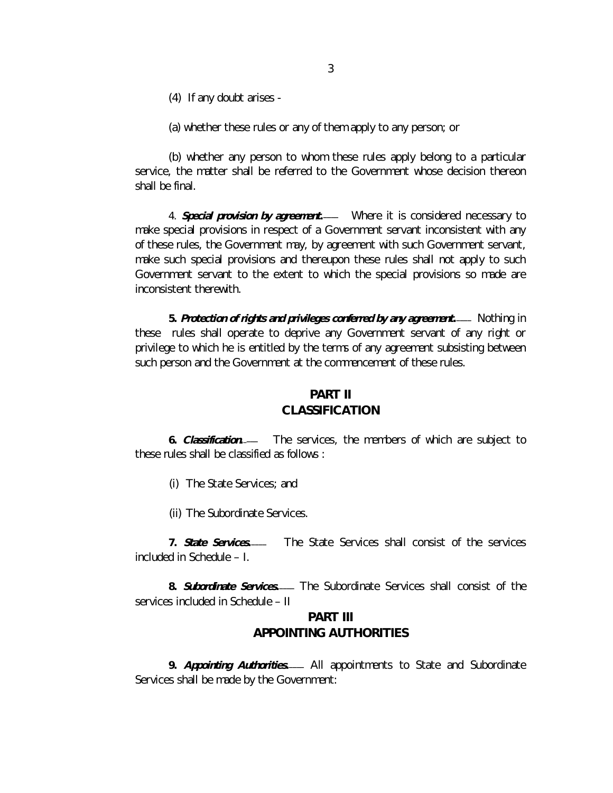(4) If any doubt arises -

(a) whether these rules or any of them apply to any person; or

(b) whether any person to whom these rules apply belong to a particular service, the matter shall be referred to the Government whose decision thereon shall be final.

4. **Special provision by agreement**. Where it is considered necessary to make special provisions in respect of a Government servant inconsistent with any of these rules, the Government may, by agreement with such Government servant, make such special provisions and thereupon these rules shall not apply to such Government servant to the extent to which the special provisions so made are inconsistent therewith.

**5.** *Protection of rights and privileges conferred by any agreement. \_\_\_\_* Nothing in these rules shall operate to deprive any Government servant of any right or privilege to which he is entitled by the terms of any agreement subsisting between such person and the Government at the commencement of these rules.

# **PART II CLASSIFICATION**

**6.** *Classification.* The services, the members of which are subject to these rules shall be classified as follows :

- (i) The State Services; and
- (ii) The Subordinate Services.

**7.** *State Services.* The State Services shall consist of the services included in Schedule – I.

**8.** *Subordinate Services. \_\_\_\_* The Subordinate Services shall consist of the services included in Schedule – II

# **PART III APPOINTING AUTHORITIES**

**9.** *Appointing Authorities. \_\_\_\_* All appointments to State and Subordinate Services shall be made by the Government: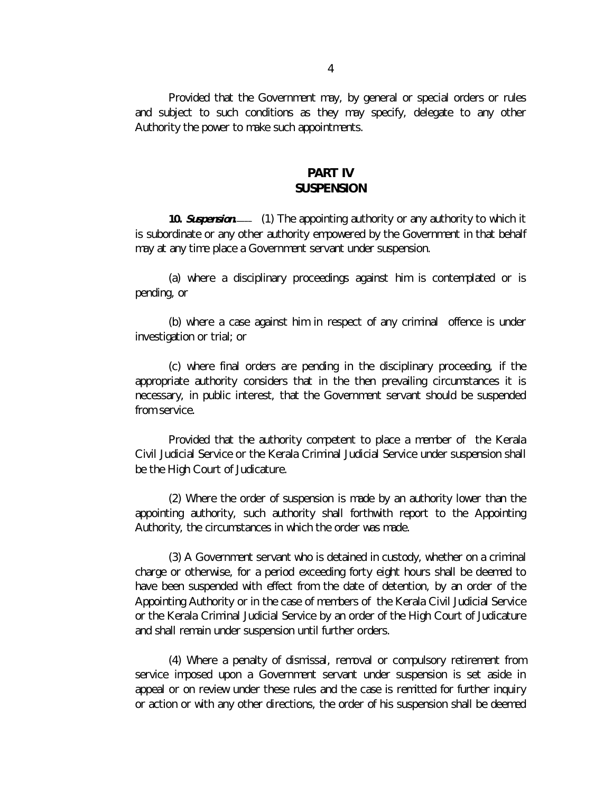Provided that the Government may, by general or special orders or rules and subject to such conditions as they may specify, delegate to any other Authority the power to make such appointments.

# **PART IV SUSPENSION**

10. *Suspension.*—— (1) The appointing authority or any authority to which it is subordinate or any other authority empowered by the Government in that behalf may at any time place a Government servant under suspension.

(a) where a disciplinary proceedings against him is contemplated or is pending, or

(b) where a case against him in respect of any criminal offence is under investigation or trial; or

(c) where final orders are pending in the disciplinary proceeding, if the appropriate authority considers that in the then prevailing circumstances it is necessary, in public interest, that the Government servant should be suspended from service.

Provided that the authority competent to place a member of the Kerala Civil Judicial Service or the Kerala Criminal Judicial Service under suspension shall be the High Court of Judicature.

(2) Where the order of suspension is made by an authority lower than the appointing authority, such authority shall forthwith report to the Appointing Authority, the circumstances in which the order was made.

(3) A Government servant who is detained in custody, whether on a criminal charge or otherwise, for a period exceeding forty eight hours shall be deemed to have been suspended with effect from the date of detention, by an order of the Appointing Authority or in the case of members of the Kerala Civil Judicial Service or the Kerala Criminal Judicial Service by an order of the High Court of Judicature and shall remain under suspension until further orders.

(4) Where a penalty of dismissal, removal or compulsory retirement from service imposed upon a Government servant under suspension is set aside in appeal or on review under these rules and the case is remitted for further inquiry or action or with any other directions, the order of his suspension shall be deemed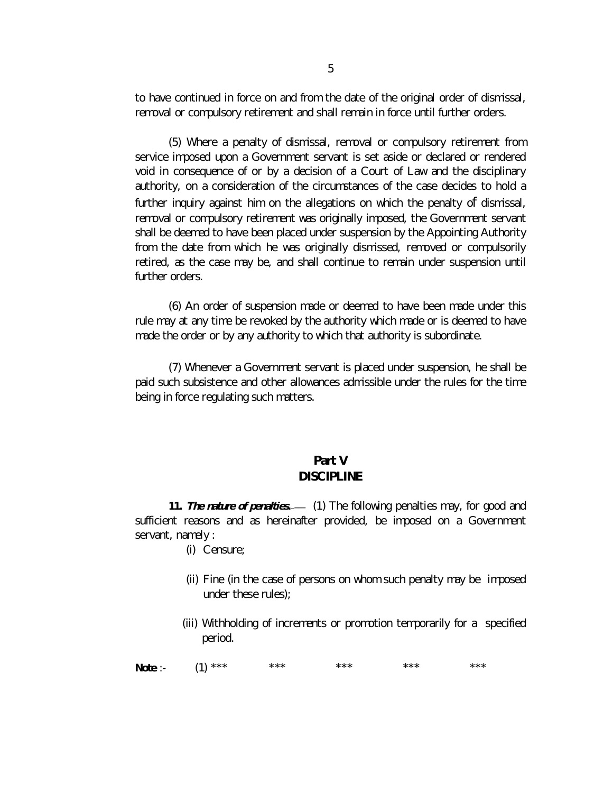to have continued in force on and from the date of the original order of dismissal, removal or compulsory retirement and shall remain in force until further orders.

(5) Where a penalty of dismissal, removal or compulsory retirement from service imposed upon a Government servant is set aside or declared or rendered void in consequence of or by a decision of a Court of Law and the disciplinary authority, on a consideration of the circumstances of the case decides to hold a further inquiry against him on the allegations on which the penalty of dismissal, removal or compulsory retirement was originally imposed, the Government servant shall be deemed to have been placed under suspension by the Appointing Authority from the date from which he was originally dismissed, removed or compulsorily retired, as the case may be, and shall continue to remain under suspension until further orders.

(6) An order of suspension made or deemed to have been made under this rule may at any time be revoked by the authority which made or is deemed to have made the order or by any authority to which that authority is subordinate.

(7) Whenever a Government servant is placed under suspension, he shall be paid such subsistence and other allowances admissible under the rules for the time being in force regulating such matters.

# **Part V DISCIPLINE**

**11.** The nature of penalties. - (1) The following penalties may, for good and sufficient reasons and as hereinafter provided, be imposed on a Government servant, namely :

- (i) Censure;
- (ii) Fine (in the case of persons on whom such penalty may be imposed under these rules);
- (iii) Withholding of increments or promotion temporarily for a specified period.

**Note** :- (1) \*\*\* \*\*\* \*\*\* \*\*\* \*\*\* \*\*\* \*\*\*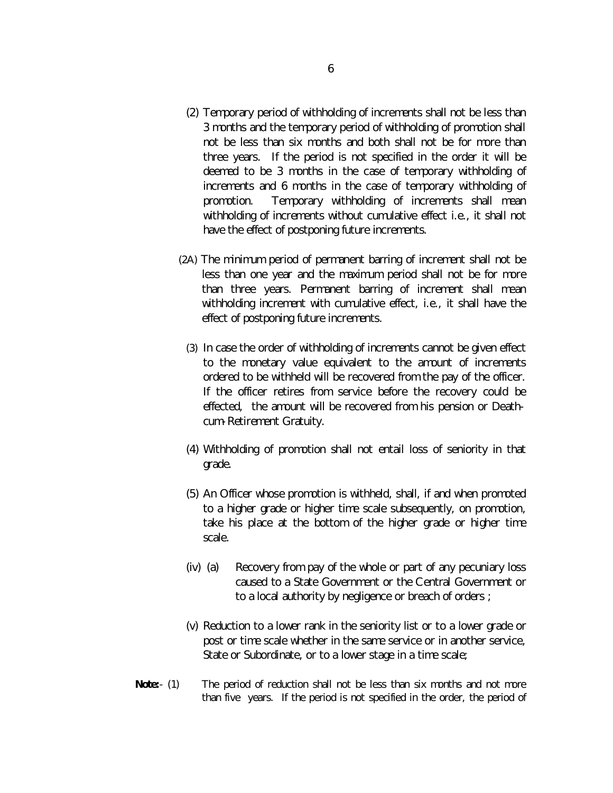- (2) Temporary period of withholding of increments shall not be less than 3 months and the temporary period of withholding of promotion shall not be less than six months and both shall not be for more than three years. If the period is not specified in the order it will be deemed to be 3 months in the case of temporary withholding of increments and 6 months in the case of temporary withholding of promotion. Temporary withholding of increments shall mean withholding of increments without cumulative effect i.e., it shall not have the effect of postponing future increments.
- (2A) The minimum period of permanent barring of increment shall not be less than one year and the maximum period shall not be for more than three years. Permanent barring of increment shall mean withholding increment with cumulative effect, i.e., it shall have the effect of postponing future increments.
	- (3) In case the order of withholding of increments cannot be given effect to the monetary value equivalent to the amount of increments ordered to be withheld will be recovered from the pay of the officer. If the officer retires from service before the recovery could be effected, the amount will be recovered from his pension or Deathcum-Retirement Gratuity.
	- (4) Withholding of promotion shall not entail loss of seniority in that grade.
	- (5) An Officer whose promotion is withheld, shall, if and when promoted to a higher grade or higher time scale subsequently, on promotion, take his place at the bottom of the higher grade or higher time scale.
	- (iv) (a) Recovery from pay of the whole or part of any pecuniary loss caused to a State Government or the Central Government or to a local authority by negligence or breach of orders ;
- (v) Reduction to a lower rank in the seniority list or to a lower grade or post or time scale whether in the same service or in another service, State or Subordinate, or to a lower stage in a time scale;
- **Note:** (1) The period of reduction shall not be less than six months and not more than five years. If the period is not specified in the order, the period of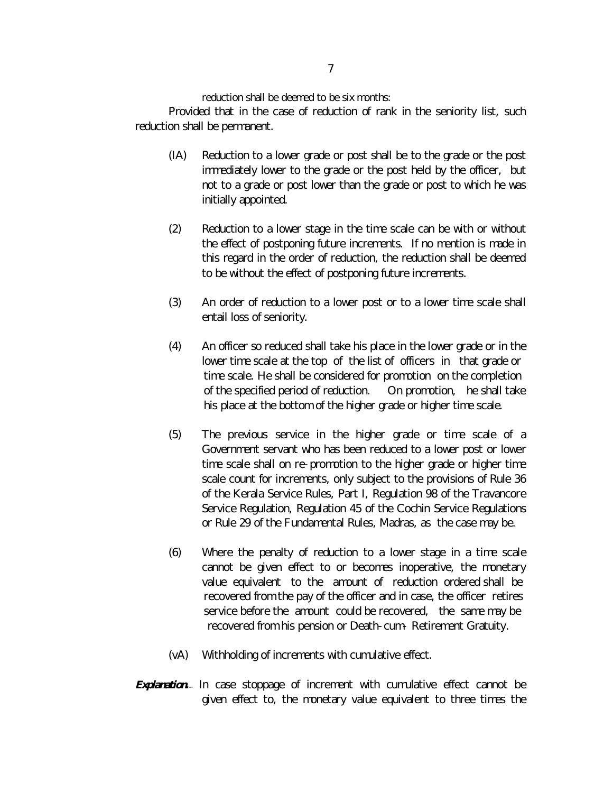reduction shall be deemed to be six months:

Provided that in the case of reduction of rank in the seniority list, such reduction shall be permanent.

- (IA) Reduction to a lower grade or post shall be to the grade or the post immediately lower to the grade or the post held by the officer, but not to a grade or post lower than the grade or post to which he was initially appointed.
- (2) Reduction to a lower stage in the time scale can be with or without the effect of postponing future increments. If no mention is made in this regard in the order of reduction, the reduction shall be deemed to be without the effect of postponing future increments.
- (3) An order of reduction to a lower post or to a lower time scale shall entail loss of seniority.
- (4) An officer so reduced shall take his place in the lower grade or in the lower time scale at the top of the list of officers in that grade or time scale. He shall be considered for promotion on the completion of the specified period of reduction. On promotion, he shall take his place at the bottom of the higher grade or higher time scale.
- (5) The previous service in the higher grade or time scale of a Government servant who has been reduced to a lower post or lower time scale shall on re-promotion to the higher grade or higher time scale count for increments, only subject to the provisions of Rule 36 of the Kerala Service Rules, Part I, Regulation 98 of the Travancore Service Regulation, Regulation 45 of the Cochin Service Regulations or Rule 29 of the Fundamental Rules, Madras, as the case may be.
- (6) Where the penalty of reduction to a lower stage in a time scale cannot be given effect to or becomes inoperative, the monetary value equivalent to the amount of reduction ordered shall be recovered from the pay of the officer and in case, the officer retires service before the amount could be recovered, the same may be recovered from his pension or Death-cum- Retirement Gratuity.
- (vA) Withholding of increments with cumulative effect.
- **Explanation.** In case stoppage of increment with cumulative effect cannot be given effect to, the monetary value equivalent to three times the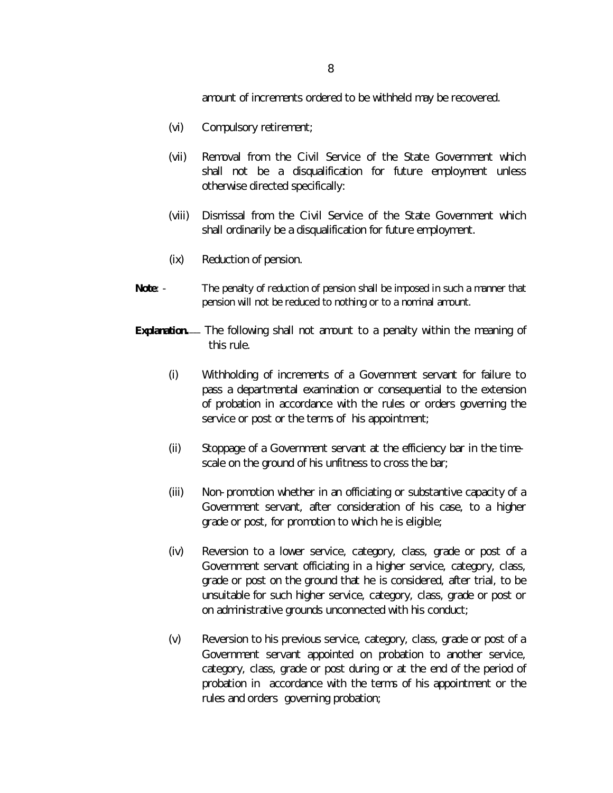amount of increments ordered to be withheld may be recovered.

- (vi) Compulsory retirement;
- (vii) Removal from the Civil Service of the State Government which shall not be a disqualification for future employment unless otherwise directed specifically:
- (viii) Dismissal from the Civil Service of the State Government which shall ordinarily be a disqualification for future employment.
- (ix) Reduction of pension.
- **Note:** The penalty of reduction of pension shall be imposed in such a manner that pension will not be reduced to nothing or to a nominal amount.
- Explanation.- The following shall not amount to a penalty within the meaning of this rule.
	- (i) Withholding of increments of a Government servant for failure to pass a departmental examination or consequential to the extension of probation in accordance with the rules or orders governing the service or post or the terms of his appointment;
	- (ii) Stoppage of a Government servant at the efficiency bar in the timescale on the ground of his unfitness to cross the bar;
	- (iii) Non-promotion whether in an officiating or substantive capacity of a Government servant, after consideration of his case, to a higher grade or post, for promotion to which he is eligible;
	- (iv) Reversion to a lower service, category, class, grade or post of a Government servant officiating in a higher service, category, class, grade or post on the ground that he is considered, after trial, to be unsuitable for such higher service, category, class, grade or post or on administrative grounds unconnected with his conduct;
	- (v) Reversion to his previous service, category, class, grade or post of a Government servant appointed on probation to another service, category, class, grade or post during or at the end of the period of probation in accordance with the terms of his appointment or the rules and orders governing probation;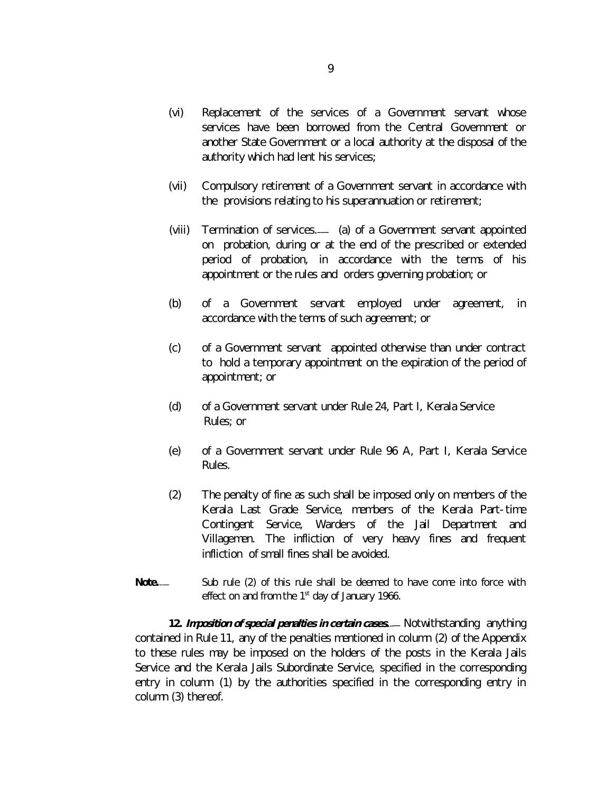- (vi) Replacement of the services of a Government servant whose services have been borrowed from the Central Government or another State Government or a local authority at the disposal of the authority which had lent his services;
- (vii) Compulsory retirement of a Government servant in accordance with the provisions relating to his superannuation or retirement;
- (viii) *Termination of services*. *\_\_\_* (a) of a Government servant appointed on probation, during or at the end of the prescribed or extended period of probation, in accordance with the terms of his appointment or the rules and orders governing probation; or
- (b) of a Government servant employed under agreement, in accordance with the terms of such agreement; or
- (c) of a Government servant appointed otherwise than under contract to hold a temporary appointment on the expiration of the period of appointment; or
- (d) of a Government servant under Rule 24, Part I, Kerala Service Rules; or
- (e) of a Government servant under Rule 96 A, Part I, Kerala Service Rules.
- (2) The penalty of fine as such shall be imposed only on members of the Kerala Last Grade Service, members of the Kerala Part-time Contingent Service, Warders of the Jail Department and Villagemen. The infliction of very heavy fines and frequent infliction of small fines shall be avoided.
- **Note***.* Sub rule (2) of this rule shall be deemed to have come into force with effect on and from the 1<sup>st</sup> day of January 1966.

**12.** *Imposition of special penalties in certain cases. \_\_\_* Notwithstanding anything contained in Rule 11, any of the penalties mentioned in column (2) of the Appendix to these rules may be imposed on the holders of the posts in the Kerala Jails Service and the Kerala Jails Subordinate Service, specified in the corresponding entry in column (1) by the authorities specified in the corresponding entry in column (3) thereof.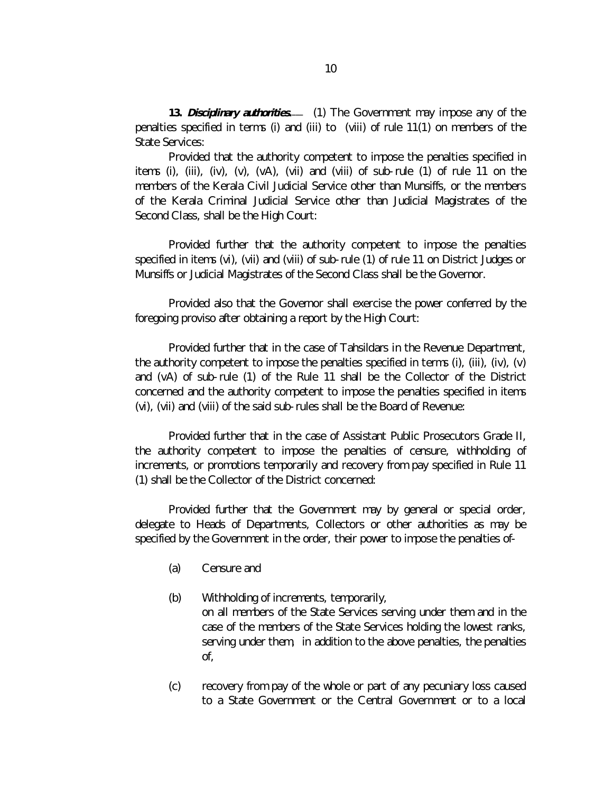**13.** *Disciplinary authorities. \_\_\_* (1) The Government may impose any of the penalties specified in terms (i) and (iii) to (viii) of rule 11(1) on members of the State Services:

Provided that the authority competent to impose the penalties specified in items (i), (iii), (iv),  $(v)$ ,  $(v)$ ,  $(v)$ ), (vii) and (viii) of sub-rule (1) of rule 11 on the members of the Kerala Civil Judicial Service other than Munsiffs, or the members of the Kerala Criminal Judicial Service other than Judicial Magistrates of the Second Class, shall be the High Court:

Provided further that the authority competent to impose the penalties specified in items (vi), (vii) and (viii) of sub-rule (1) of rule 11 on District Judges or Munsiffs or Judicial Magistrates of the Second Class shall be the Governor.

Provided also that the Governor shall exercise the power conferred by the foregoing proviso after obtaining a report by the High Court:

Provided further that in the case of Tahsildars in the Revenue Department, the authority competent to impose the penalties specified in terms (i), (iii), (iv), (v) and (vA) of sub-rule (1) of the Rule 11 shall be the Collector of the District concerned and the authority competent to impose the penalties specified in items (vi), (vii) and (viii) of the said sub-rules shall be the Board of Revenue:

Provided further that in the case of Assistant Public Prosecutors Grade II, the authority competent to impose the penalties of censure, withholding of increments, or promotions temporarily and recovery from pay specified in Rule 11 (1) shall be the Collector of the District concerned:

Provided further that the Government may by general or special order, delegate to Heads of Departments, Collectors or other authorities as may be specified by the Government in the order, their power to impose the penalties of-

- (a) Censure and
- (b) Withholding of increments, temporarily, on all members of the State Services serving under them and in the case of the members of the State Services holding the lowest ranks, serving under them, in addition to the above penalties, the penalties of,
- (c) recovery from pay of the whole or part of any pecuniary loss caused to a State Government or the Central Government or to a local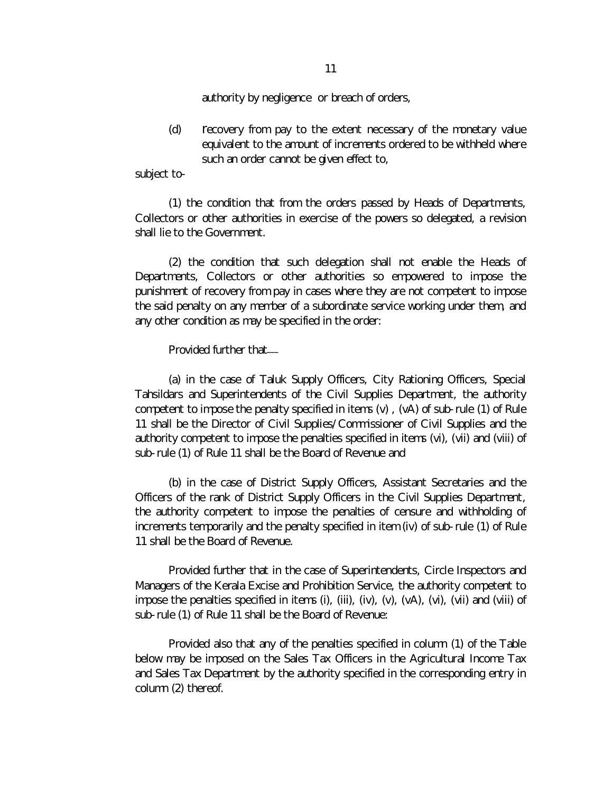authority by negligence or breach of orders,

(d) recovery from pay to the extent necessary of the monetary value equivalent to the amount of increments ordered to be withheld where such an order cannot be given effect to,

subject to-

(1) the condition that from the orders passed by Heads of Departments, Collectors or other authorities in exercise of the powers so delegated, a revision shall lie to the Government.

(2) the condition that such delegation shall not enable the Heads of Departments, Collectors or other authorities so empowered to impose the punishment of recovery from pay in cases where they are not competent to impose the said penalty on any member of a subordinate service working under them, and any other condition as may be specified in the order:

Provided further that*\_\_\_*

(a) in the case of Taluk Supply Officers, City Rationing Officers, Special Tahsildars and Superintendents of the Civil Supplies Department, the authority competent to impose the penalty specified in items  $(v)$ ,  $(vA)$  of sub-rule (1) of Rule 11 shall be the Director of Civil Supplies/Commissioner of Civil Supplies and the authority competent to impose the penalties specified in items (vi), (vii) and (viii) of sub-rule (1) of Rule 11 shall be the Board of Revenue and

(b) in the case of District Supply Officers, Assistant Secretaries and the Officers of the rank of District Supply Officers in the Civil Supplies Department, the authority competent to impose the penalties of censure and withholding of increments temporarily and the penalty specified in item (iv) of sub-rule (1) of Rule 11 shall be the Board of Revenue.

Provided further that in the case of Superintendents, Circle Inspectors and Managers of the Kerala Excise and Prohibition Service, the authority competent to impose the penalties specified in items (i), (iii), (iv), (v), (vA), (vi), (vii) and (viii) of sub-rule (1) of Rule 11 shall be the Board of Revenue:

Provided also that any of the penalties specified in column (1) of the Table below may be imposed on the Sales Tax Officers in the Agricultural Income Tax and Sales Tax Department by the authority specified in the corresponding entry in column (2) thereof.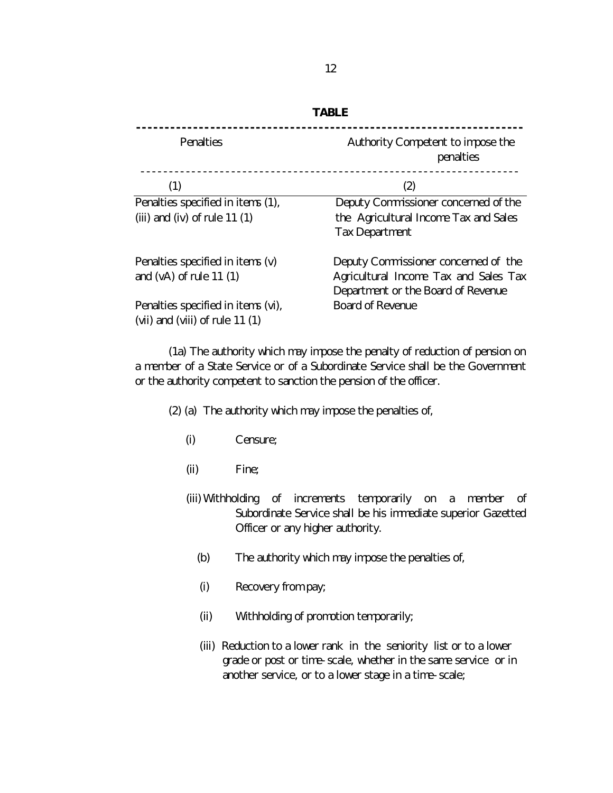| Penalties                          | Authority Competent to impose the<br>penalties |  |  |  |
|------------------------------------|------------------------------------------------|--|--|--|
| (1)                                | (2)                                            |  |  |  |
| Penalties specified in items (1),  | Deputy Commissioner concerned of the           |  |  |  |
| (iii) and (iv) of rule $11(1)$     | the Agricultural Income Tax and Sales          |  |  |  |
|                                    | <b>Tax Department</b>                          |  |  |  |
| Penalties specified in items (v)   | Deputy Commissioner concerned of the           |  |  |  |
| and $(vA)$ of rule 11 $(1)$        | Agricultural Income Tax and Sales Tax          |  |  |  |
|                                    | Department or the Board of Revenue             |  |  |  |
| Penalties specified in items (vi), | Board of Revenue                               |  |  |  |
| (vii) and (viii) of rule $11(1)$   |                                                |  |  |  |

(1a) The authority which may impose the penalty of reduction of pension on a member of a State Service or of a Subordinate Service shall be the Government or the authority competent to sanction the pension of the officer.

- (2) (a) The authority which may impose the penalties of,
	- (i) Censure;
	- (ii) Fine;
	- (iii) Withholding of increments temporarily on a member of Subordinate Service shall be his immediate superior Gazetted Officer or any higher authority.
		- (b) The authority which may impose the penalties of,
		- (i) Recovery from pay;
		- (ii) Withholding of promotion temporarily;
		- (iii) Reduction to a lower rank in the seniority list or to a lower grade or post or time-scale, whether in the same service or in another service, or to a lower stage in a time-scale;

#### **TABLE**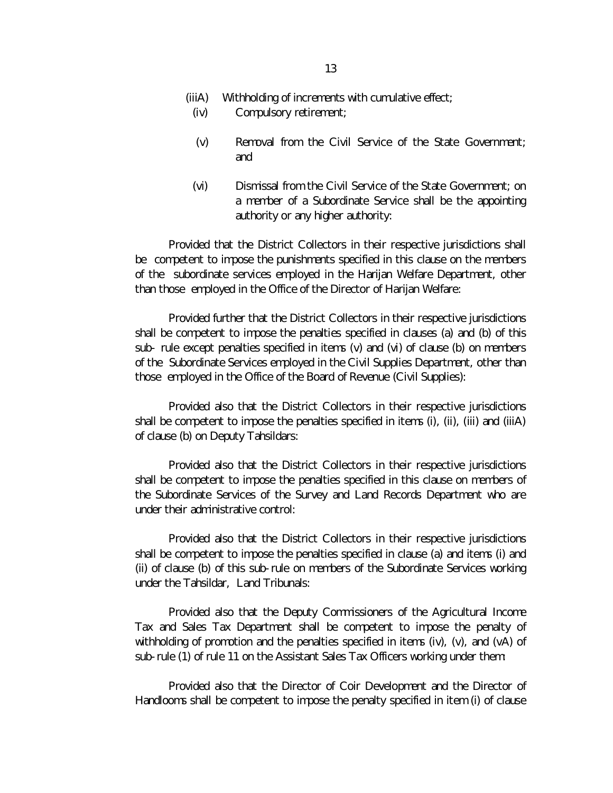- (iv) Compulsory retirement;
- (v) Removal from the Civil Service of the State Government; and
- (vi) Dismissal from the Civil Service of the State Government; on a member of a Subordinate Service shall be the appointing authority or any higher authority:

Provided that the District Collectors in their respective jurisdictions shall be competent to impose the punishments specified in this clause on the members of the subordinate services employed in the Harijan Welfare Department, other than those employed in the Office of the Director of Harijan Welfare:

Provided further that the District Collectors in their respective jurisdictions shall be competent to impose the penalties specified in clauses (a) and (b) of this sub- rule except penalties specified in items (v) and (vi) of clause (b) on members of the Subordinate Services employed in the Civil Supplies Department, other than those employed in the Office of the Board of Revenue (Civil Supplies):

Provided also that the District Collectors in their respective jurisdictions shall be competent to impose the penalties specified in items (i), (ii), (iii) and (iiiA) of clause (b) on Deputy Tahsildars:

Provided also that the District Collectors in their respective jurisdictions shall be competent to impose the penalties specified in this clause on members of the Subordinate Services of the Survey and Land Records Department who are under their administrative control:

Provided also that the District Collectors in their respective jurisdictions shall be competent to impose the penalties specified in clause (a) and items (i) and (ii) of clause (b) of this sub-rule on members of the Subordinate Services working under the Tahsildar, Land Tribunals:

Provided also that the Deputy Commissioners of the Agricultural Income Tax and Sales Tax Department shall be competent to impose the penalty of withholding of promotion and the penalties specified in items (iv),  $(v)$ , and  $(v)$  of sub-rule (1) of rule 11 on the Assistant Sales Tax Officers working under them:

Provided also that the Director of Coir Development and the Director of Handlooms shall be competent to impose the penalty specified in item (i) of clause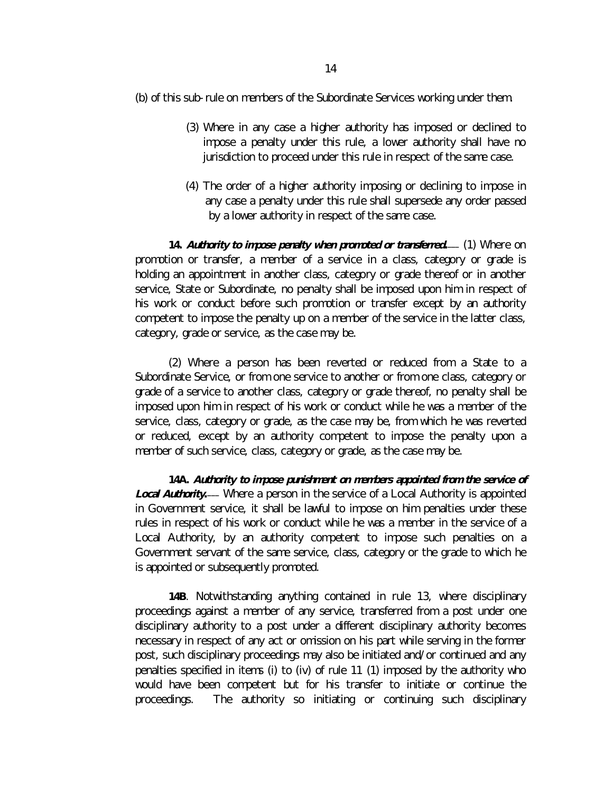- (3) Where in any case a higher authority has imposed or declined to impose a penalty under this rule, a lower authority shall have no jurisdiction to proceed under this rule in respect of the same case.
- (4) The order of a higher authority imposing or declining to impose in any case a penalty under this rule shall supersede any order passed by a lower authority in respect of the same case.

**14.** *Authority to impose penalty when promoted or transferred. \_\_\_* (1) Where on promotion or transfer, a member of a service in a class, category or grade is holding an appointment in another class, category or grade thereof or in another service, State or Subordinate, no penalty shall be imposed upon him in respect of his work or conduct before such promotion or transfer except by an authority competent to impose the penalty up on a member of the service in the latter class, category, grade or service, as the case may be.

(2) Where a person has been reverted or reduced from a State to a Subordinate Service, or from one service to another or from one class, category or grade of a service to another class, category or grade thereof, no penalty shall be imposed upon him in respect of his work or conduct while he was a member of the service, class, category or grade, as the case may be, from which he was reverted or reduced, except by an authority competent to impose the penalty upon a member of such service, class, category or grade, as the case may be.

**14A.** *Authority to impose punishment on members appointed from the service of*  **Local Authority.**— Where a person in the service of a Local Authority is appointed in Government service, it shall be lawful to impose on him penalties under these rules in respect of his work or conduct while he was a member in the service of a Local Authority, by an authority competent to impose such penalties on a Government servant of the same service, class, category or the grade to which he is appointed or subsequently promoted.

**14B**. Notwithstanding anything contained in rule 13, where disciplinary proceedings against a member of any service, transferred from a post under one disciplinary authority to a post under a different disciplinary authority becomes necessary in respect of any act or omission on his part while serving in the former post, such disciplinary proceedings may also be initiated and/or continued and any penalties specified in items (i) to (iv) of rule 11 (1) imposed by the authority who would have been competent but for his transfer to initiate or continue the proceedings. The authority so initiating or continuing such disciplinary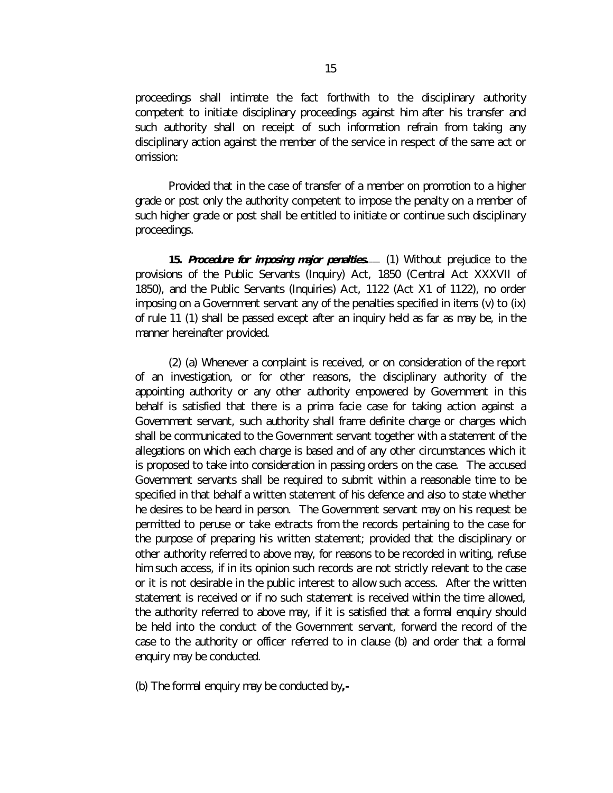proceedings shall intimate the fact forthwith to the disciplinary authority competent to initiate disciplinary proceedings against him after his transfer and such authority shall on receipt of such information refrain from taking any disciplinary action against the member of the service in respect of the same act or omission:

Provided that in the case of transfer of a member on promotion to a higher grade or post only the authority competent to impose the penalty on a member of such higher grade or post shall be entitled to initiate or continue such disciplinary proceedings.

**15.** *Procedure for imposing major penalties. \_\_\_* (1) Without prejudice to the provisions of the Public Servants (Inquiry) Act, 1850 (Central Act XXXVII of 1850), and the Public Servants (Inquiries) Act, 1122 (Act X1 of 1122), no order imposing on a Government servant any of the penalties specified in items (v) to (ix) of rule 11 (1) shall be passed except after an inquiry held as far as may be, in the manner hereinafter provided.

(2) (a) Whenever a complaint is received, or on consideration of the report of an investigation, or for other reasons, the disciplinary authority of the appointing authority or any other authority empowered by Government in this behalf is satisfied that there is a *prima facie* case for taking action against a Government servant, such authority shall frame definite charge or charges which shall be communicated to the Government servant together with a statement of the allegations on which each charge is based and of any other circumstances which it is proposed to take into consideration in passing orders on the case. The accused Government servants shall be required to submit within a reasonable time to be specified in that behalf a written statement of his defence and also to state whether he desires to be heard in person. The Government servant may on his request be permitted to peruse or take extracts from the records pertaining to the case for the purpose of preparing his written statement; provided that the disciplinary or other authority referred to above may, for reasons to be recorded in writing, refuse him such access, if in its opinion such records are not strictly relevant to the case or it is not desirable in the public interest to allow such access. After the written statement is received or if no such statement is received within the time allowed, the authority referred to above may, if it is satisfied that a formal enquiry should be held into the conduct of the Government servant, forward the record of the case to the authority or officer referred to in clause (b) and order that a formal enquiry may be conducted.

(b) The formal enquiry may be conducted by**,-**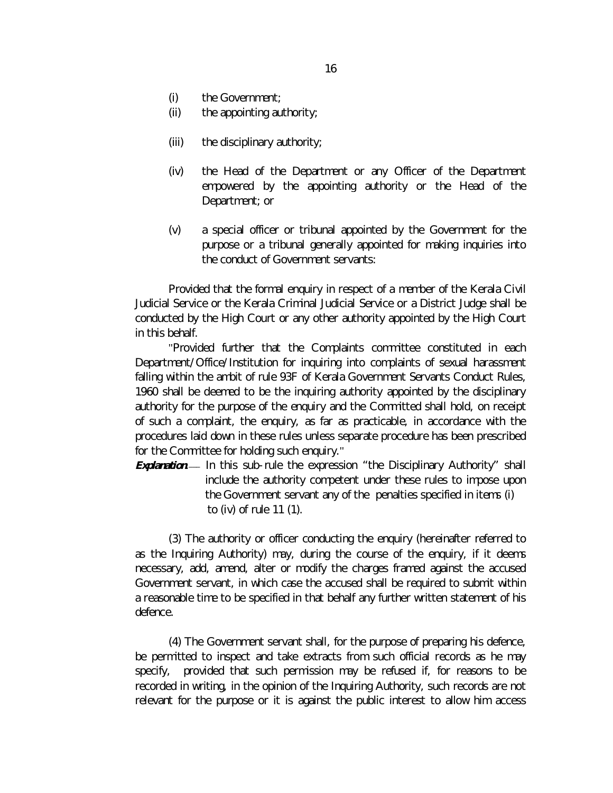- (i) the Government;
- (ii) the appointing authority;
- (iii) the disciplinary authority;
- (iv) the Head of the Department or any Officer of the Department empowered by the appointing authority or the Head of the Department; or
- (v) a special officer or tribunal appointed by the Government for the purpose or a tribunal generally appointed for making inquiries into the conduct of Government servants:

Provided that the formal enquiry in respect of a member of the Kerala Civil Judicial Service or the Kerala Criminal Judicial Service or a District Judge shall be conducted by the High Court or any other authority appointed by the High Court in this behalf.

"Provided further that the Complaints committee constituted in each Department/Office/Institution for inquiring into complaints of sexual harassment falling within the ambit of rule 93F of Kerala Government Servants Conduct Rules, 1960 shall be deemed to be the inquiring authority appointed by the disciplinary authority for the purpose of the enquiry and the Committed shall hold, on receipt of such a complaint, the enquiry, as far as practicable, in accordance with the procedures laid down in these rules unless separate procedure has been prescribed for the Committee for holding such enquiry."

**Explanation.** In this sub-rule the expression "the Disciplinary Authority" shall include the authority competent under these rules to impose upon the Government servant any of the penalties specified in items (i) to (iv) of rule 11 (1).

(3) The authority or officer conducting the enquiry (hereinafter referred to as the Inquiring Authority) may, during the course of the enquiry, if it deems necessary, add, amend, alter or modify the charges framed against the accused Government servant, in which case the accused shall be required to submit within a reasonable time to be specified in that behalf any further written statement of his defence.

(4) The Government servant shall, for the purpose of preparing his defence, be permitted to inspect and take extracts from such official records as he may specify, provided that such permission may be refused if, for reasons to be recorded in writing, in the opinion of the Inquiring Authority, such records are not relevant for the purpose or it is against the public interest to allow him access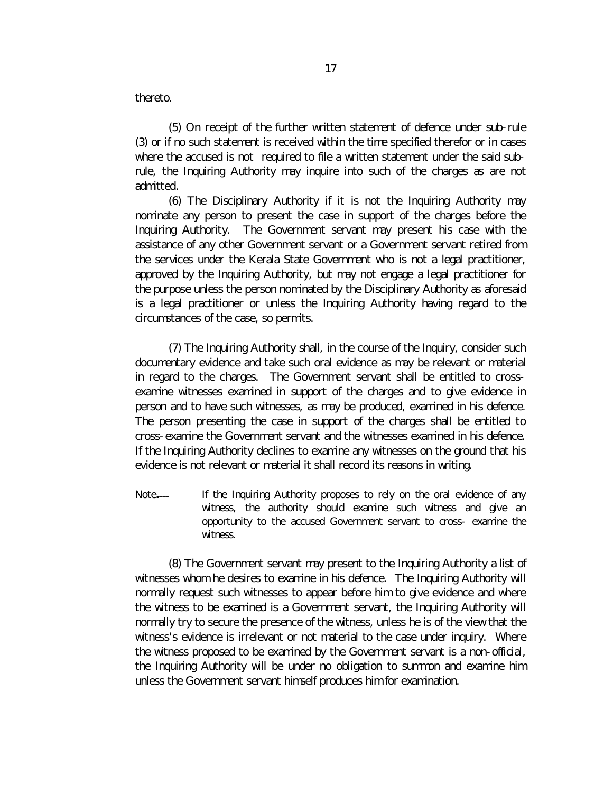thereto.

(5) On receipt of the further written statement of defence under sub-rule (3) or if no such statement is received within the time specified therefor or in cases where the accused is not required to file a written statement under the said subrule, the Inquiring Authority may inquire into such of the charges as are not admitted.

(6) The Disciplinary Authority if it is not the Inquiring Authority may nominate any person to present the case in support of the charges before the Inquiring Authority. The Government servant may present his case with the assistance of any other Government servant or a Government servant retired from the services under the Kerala State Government who is not a legal practitioner, approved by the Inquiring Authority, but may not engage a legal practitioner for the purpose unless the person nominated by the Disciplinary Authority as aforesaid is a legal practitioner or unless the Inquiring Authority having regard to the circumstances of the case, so permits.

(7) The Inquiring Authority shall, in the course of the Inquiry, consider such documentary evidence and take such oral evidence as may be relevant or material in regard to the charges. The Government servant shall be entitled to crossexamine witnesses examined in support of the charges and to give evidence in person and to have such witnesses, as may be produced, examined in his defence. The person presenting the case in support of the charges shall be entitled to cross-examine the Government servant and the witnesses examined in his defence. If the Inquiring Authority declines to examine any witnesses on the ground that his evidence is not relevant or material it shall record its reasons in writing.

Note*.* If the Inquiring Authority proposes to rely on the oral evidence of any witness, the authority should examine such witness and give an opportunity to the accused Government servant to cross- examine the witness.

(8) The Government servant may present to the Inquiring Authority a list of witnesses whom he desires to examine in his defence. The Inquiring Authority will normally request such witnesses to appear before him to give evidence and where the witness to be examined is a Government servant, the Inquiring Authority will normally try to secure the presence of the witness, unless he is of the view that the witness's evidence is irrelevant or not material to the case under inquiry. Where the witness proposed to be examined by the Government servant is a non-official, the Inquiring Authority will be under no obligation to summon and examine him unless the Government servant himself produces him for examination.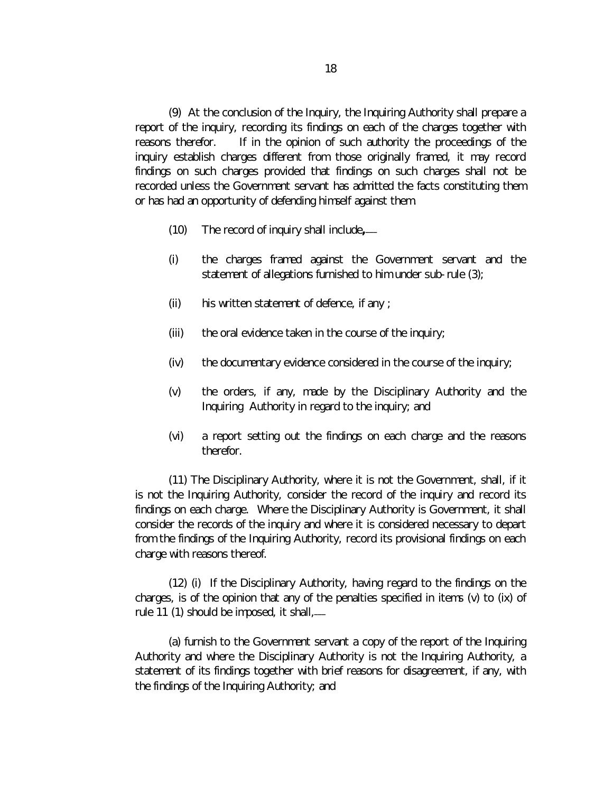(9) At the conclusion of the Inquiry, the Inquiring Authority shall prepare a report of the inquiry, recording its findings on each of the charges together with reasons therefor. If in the opinion of such authority the proceedings of the inquiry establish charges different from those originally framed, it may record findings on such charges provided that findings on such charges shall not be recorded unless the Government servant has admitted the facts constituting them or has had an opportunity of defending himself against them.

- (10) The record of inquiry shall include**, \_\_\_**
- (i) the charges framed against the Government servant and the statement of allegations furnished to him under sub-rule (3);
- (ii) his written statement of defence, if any ;
- (iii) the oral evidence taken in the course of the inquiry;
- (iv) the documentary evidence considered in the course of the inquiry;
- (v) the orders, if any, made by the Disciplinary Authority and the Inquiring Authority in regard to the inquiry; and
- (vi) a report setting out the findings on each charge and the reasons therefor.

(11) The Disciplinary Authority, where it is not the Government, shall, if it is not the Inquiring Authority, consider the record of the inquiry and record its findings on each charge. Where the Disciplinary Authority is Government, it shall consider the records of the inquiry and where it is considered necessary to depart from the findings of the Inquiring Authority, record its provisional findings on each charge with reasons thereof.

(12) (i) If the Disciplinary Authority, having regard to the findings on the charges, is of the opinion that any of the penalties specified in items (v) to (ix) of rule 11 (1) should be imposed, it shall,*\_\_\_*

(a) furnish to the Government servant a copy of the report of the Inquiring Authority and where the Disciplinary Authority is not the Inquiring Authority, a statement of its findings together with brief reasons for disagreement, if any, with the findings of the Inquiring Authority; and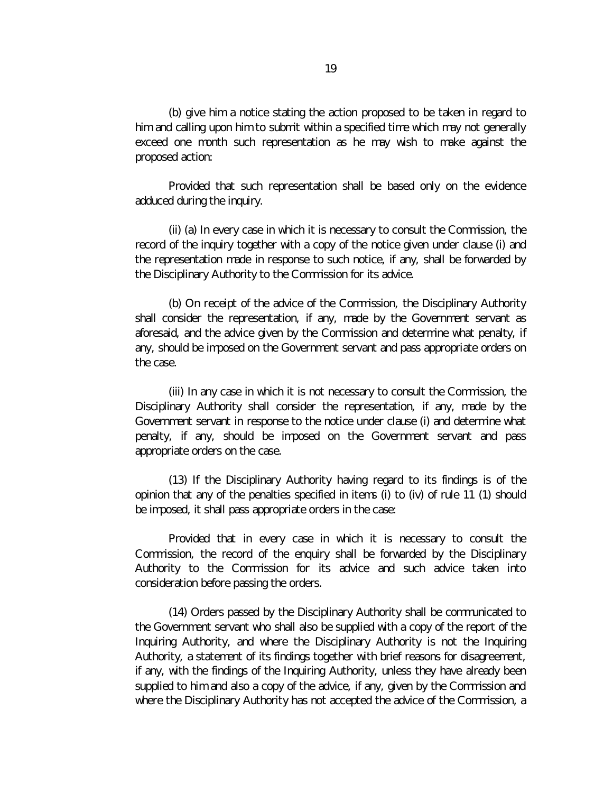(b) give him a notice stating the action proposed to be taken in regard to him and calling upon him to submit within a specified time which may not generally exceed one month such representation as he may wish to make against the proposed action:

Provided that such representation shall be based only on the evidence adduced during the inquiry.

(ii) (a) In every case in which it is necessary to consult the Commission, the record of the inquiry together with a copy of the notice given under clause (i) and the representation made in response to such notice, if any, shall be forwarded by the Disciplinary Authority to the Commission for its advice.

(b) On receipt of the advice of the Commission, the Disciplinary Authority shall consider the representation, if any, made by the Government servant as aforesaid, and the advice given by the Commission and determine what penalty, if any, should be imposed on the Government servant and pass appropriate orders on the case.

(iii) In any case in which it is not necessary to consult the Commission, the Disciplinary Authority shall consider the representation, if any, made by the Government servant in response to the notice under clause (i) and determine what penalty, if any, should be imposed on the Government servant and pass appropriate orders on the case.

(13) If the Disciplinary Authority having regard to its findings is of the opinion that any of the penalties specified in items (i) to (iv) of rule 11 (1) should be imposed, it shall pass appropriate orders in the case:

Provided that in every case in which it is necessary to consult the Commission, the record of the enquiry shall be forwarded by the Disciplinary Authority to the Commission for its advice and such advice taken into consideration before passing the orders.

(14) Orders passed by the Disciplinary Authority shall be communicated to the Government servant who shall also be supplied with a copy of the report of the Inquiring Authority, and where the Disciplinary Authority is not the Inquiring Authority, a statement of its findings together with brief reasons for disagreement, if any, with the findings of the Inquiring Authority, unless they have already been supplied to him and also a copy of the advice, if any, given by the Commission and where the Disciplinary Authority has not accepted the advice of the Commission, a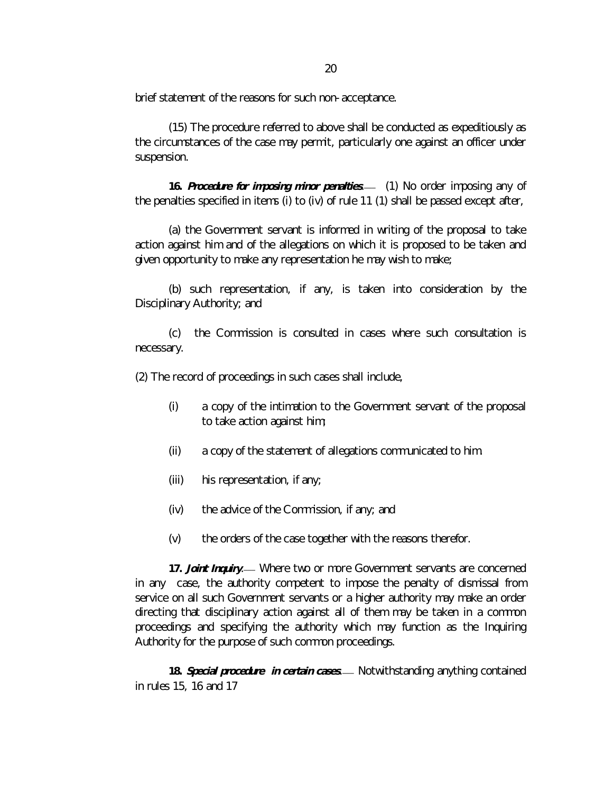brief statement of the reasons for such non-acceptance.

(15) The procedure referred to above shall be conducted as expeditiously as the circumstances of the case may permit, particularly one against an officer under suspension.

**16.** *Procedure for imposing minor penalties. \_\_\_* (1) No order imposing any of the penalties specified in items (i) to (iv) of rule 11 (1) shall be passed except after,

(a) the Government servant is informed in writing of the proposal to take action against him and of the allegations on which it is proposed to be taken and given opportunity to make any representation he may wish to make;

(b) such representation, if any, is taken into consideration by the Disciplinary Authority; and

(c) the Commission is consulted in cases where such consultation is necessary.

(2) The record of proceedings in such cases shall include,

- (i) a copy of the intimation to the Government servant of the proposal to take action against him;
- (ii) a copy of the statement of allegations communicated to him.
- (iii) his representation, if any;
- (iv) the advice of the Commission, if any; and
- (v) the orders of the case together with the reasons therefor.

17. **Joint Inquiry**. Where two or more Government servants are concerned in any case, the authority competent to impose the penalty of dismissal from service on all such Government servants or a higher authority may make an order directing that disciplinary action against all of them may be taken in a common proceedings and specifying the authority which may function as the Inquiring Authority for the purpose of such common proceedings.

18. **Special procedure in certain cases**. Alotwithstanding anything contained in rules 15, 16 and 17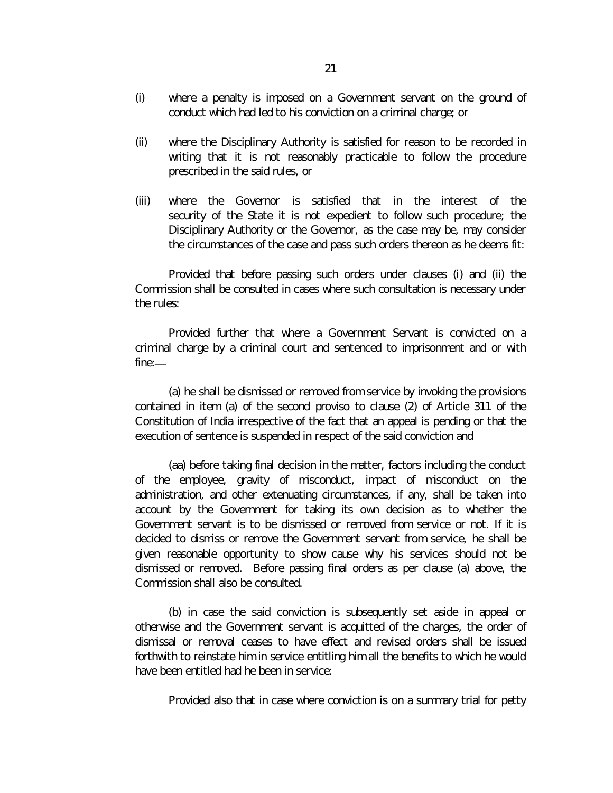- (i) where a penalty is imposed on a Government servant on the ground of conduct which had led to his conviction on a criminal charge; or
- (ii) where the Disciplinary Authority is satisfied for reason to be recorded in writing that it is not reasonably practicable to follow the procedure prescribed in the said rules, or
- (iii) where the Governor is satisfied that in the interest of the security of the State it is not expedient to follow such procedure; the Disciplinary Authority or the Governor, as the case may be, may consider the circumstances of the case and pass such orders thereon as he deems fit:

Provided that before passing such orders under clauses (i) and (ii) the Commission shall be consulted in cases where such consultation is necessary under the rules:

Provided further that where a Government Servant is convicted on a criminal charge by a criminal court and sentenced to imprisonment and or with fine:*\_\_\_*

(a) he shall be dismissed or removed from service by invoking the provisions contained in item (a) of the second proviso to clause (2) of Article 311 of the Constitution of India irrespective of the fact that an appeal is pending or that the execution of sentence is suspended in respect of the said conviction and

(aa) before taking final decision in the matter, factors including the conduct of the employee, gravity of misconduct, impact of misconduct on the administration, and other extenuating circumstances, if any, shall be taken into account by the Government for taking its own decision as to whether the Government servant is to be dismissed or removed from service or not. If it is decided to dismiss or remove the Government servant from service, he shall be given reasonable opportunity to show cause why his services should not be dismissed or removed. Before passing final orders as per clause (a) above, the Commission shall also be consulted.

(b) in case the said conviction is subsequently set aside in appeal or otherwise and the Government servant is acquitted of the charges, the order of dismissal or removal ceases to have effect and revised orders shall be issued forthwith to reinstate him in service entitling him all the benefits to which he would have been entitled had he been in service:

Provided also that in case where conviction is on a summary trial for petty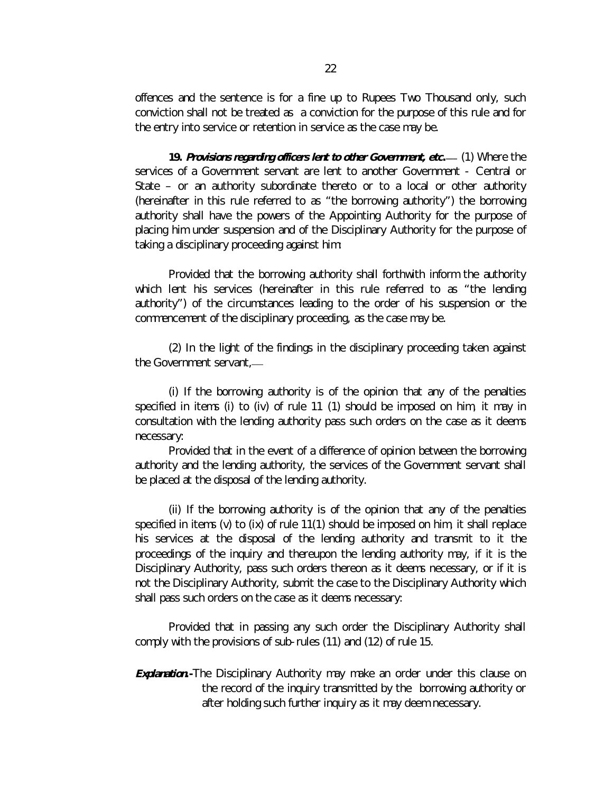offences and the sentence is for a fine up to Rupees Two Thousand only, such conviction shall not be treated as a conviction for the purpose of this rule and for the entry into service or retention in service as the case may be.

**19.** *Provisions regarding officers lent to other Government, etc. \_\_\_* (1) Where the services of a Government servant are lent to another Government - Central or State – or an authority subordinate thereto or to a local or other authority (hereinafter in this rule referred to as "the borrowing authority") the borrowing authority shall have the powers of the Appointing Authority for the purpose of placing him under suspension and of the Disciplinary Authority for the purpose of taking a disciplinary proceeding against him:

Provided that the borrowing authority shall forthwith inform the authority which lent his services (hereinafter in this rule referred to as "the lending authority") of the circumstances leading to the order of his suspension or the commencement of the disciplinary proceeding, as the case may be.

(2) In the light of the findings in the disciplinary proceeding taken against the Government servant,*\_\_\_*

(i) If the borrowing authority is of the opinion that any of the penalties specified in items (i) to (iv) of rule 11 (1) should be imposed on him, it may in consultation with the lending authority pass such orders on the case as it deems necessary:

Provided that in the event of a difference of opinion between the borrowing authority and the lending authority, the services of the Government servant shall be placed at the disposal of the lending authority.

(ii) If the borrowing authority is of the opinion that any of the penalties specified in items (v) to (ix) of rule 11(1) should be imposed on him, it shall replace his services at the disposal of the lending authority and transmit to it the proceedings of the inquiry and thereupon the lending authority may, if it is the Disciplinary Authority, pass such orders thereon as it deems necessary, or if it is not the Disciplinary Authority, submit the case to the Disciplinary Authority which shall pass such orders on the case as it deems necessary:

Provided that in passing any such order the Disciplinary Authority shall comply with the provisions of sub-rules (11) and (12) of rule 15.

*Explanation***.-**The Disciplinary Authority may make an order under this clause on the record of the inquiry transmitted by the borrowing authority or after holding such further inquiry as it may deem necessary.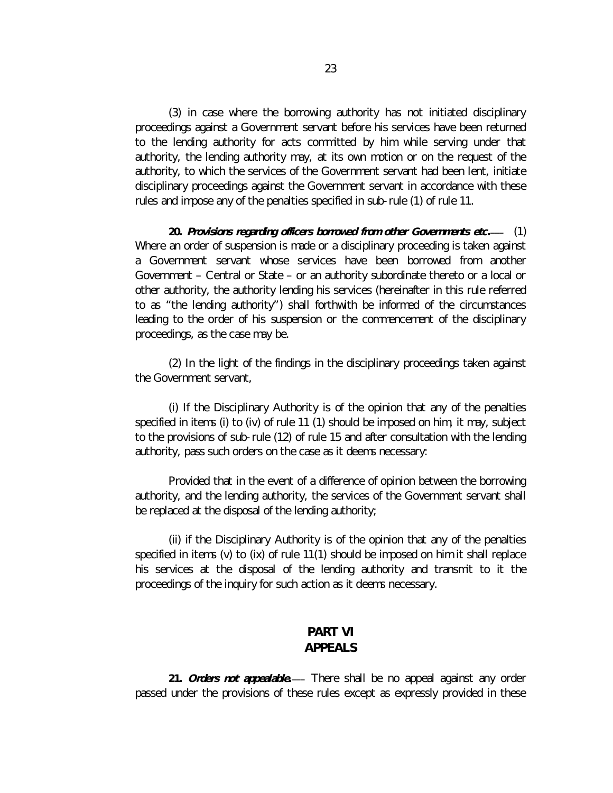(3) in case where the borrowing authority has not initiated disciplinary proceedings against a Government servant before his services have been returned to the lending authority for acts committed by him while serving under that authority, the lending authority may, at its own motion or on the request of the authority, to which the services of the Government servant had been lent, initiate disciplinary proceedings against the Government servant in accordance with these rules and impose any of the penalties specified in sub-rule (1) of rule 11.

**20.** *Provisions regarding officers borrowed from other Governments etc. \_\_\_* (1) Where an order of suspension is made or a disciplinary proceeding is taken against a Government servant whose services have been borrowed from another Government – Central or State – or an authority subordinate thereto or a local or other authority, the authority lending his services (hereinafter in this rule referred to as "the lending authority") shall forthwith be informed of the circumstances leading to the order of his suspension or the commencement of the disciplinary proceedings, as the case may be.

(2) In the light of the findings in the disciplinary proceedings taken against the Government servant,

(i) If the Disciplinary Authority is of the opinion that any of the penalties specified in items (i) to (iv) of rule 11 (1) should be imposed on him, it may, subject to the provisions of sub-rule (12) of rule 15 and after consultation with the lending authority, pass such orders on the case as it deems necessary:

Provided that in the event of a difference of opinion between the borrowing authority, and the lending authority, the services of the Government servant shall be replaced at the disposal of the lending authority;

(ii) if the Disciplinary Authority is of the opinion that any of the penalties specified in items (v) to (ix) of rule 11(1) should be imposed on him it shall replace his services at the disposal of the lending authority and transmit to it the proceedings of the inquiry for such action as it deems necessary.

# **PART VI APPEALS**

21. *Orders not appealable*.— There shall be no appeal against any order passed under the provisions of these rules except as expressly provided in these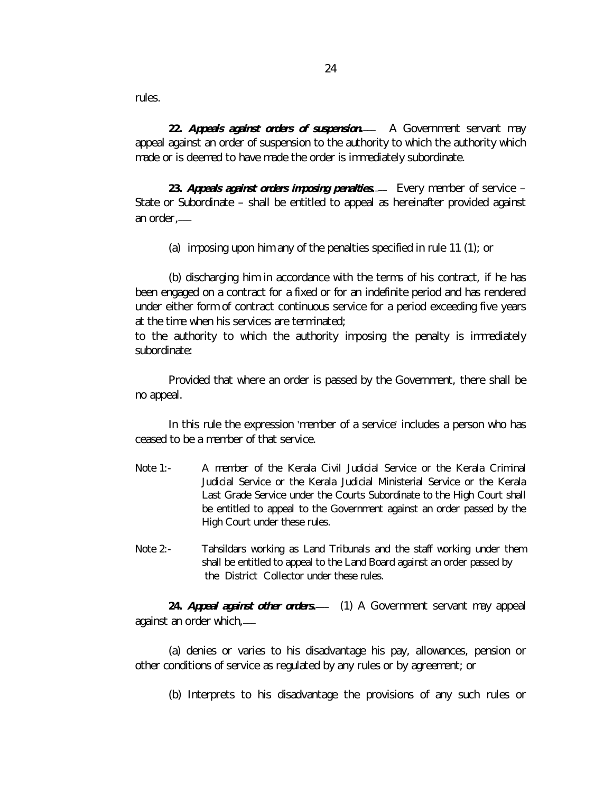rules.

**22.** *Appeals against orders of suspension. \_\_\_* A Government servant may appeal against an order of suspension to the authority to which the authority which made or is deemed to have made the order is immediately subordinate.

23. *Appeals against orders imposing penalties.* Every member of service – State or Subordinate – shall be entitled to appeal as hereinafter provided against an order,*\_\_\_*

(a) imposing upon him any of the penalties specified in rule 11 (1); or

(b) discharging him in accordance with the terms of his contract, if he has been engaged on a contract for a fixed or for an indefinite period and has rendered under either form of contract continuous service for a period exceeding five years at the time when his services are terminated;

to the authority to which the authority imposing the penalty is immediately subordinate:

Provided that where an order is passed by the Government, there shall be no appeal.

In this rule the expression 'member of a service' includes a person who has ceased to be a member of that service.

- Note 1:- A member of the Kerala Civil Judicial Service or the Kerala Criminal Judicial Service or the Kerala Judicial Ministerial Service or the Kerala Last Grade Service under the Courts Subordinate to the High Court shall be entitled to appeal to the Government against an order passed by the High Court under these rules.
- Note 2:- Tahsildars working as Land Tribunals and the staff working under them shall be entitled to appeal to the Land Board against an order passed by the District Collector under these rules.

**24.** *Appeal against other orders. \_\_\_* (1) A Government servant may appeal against an order which*, \_\_\_*

(a) denies or varies to his disadvantage his pay, allowances, pension or other conditions of service as regulated by any rules or by agreement; or

(b) Interprets to his disadvantage the provisions of any such rules or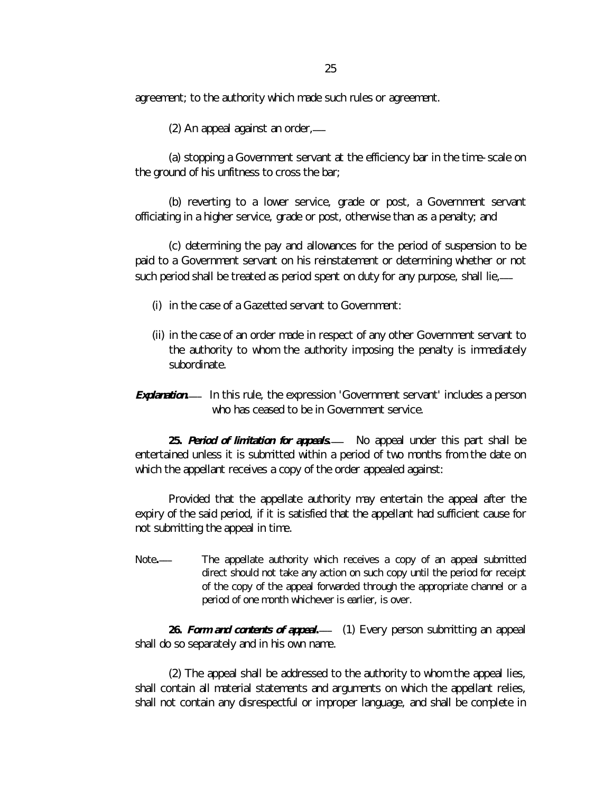agreement; to the authority which made such rules or agreement.

(2) An appeal against an order*, \_\_\_*

(a) stopping a Government servant at the efficiency bar in the time-scale on the ground of his unfitness to cross the bar;

(b) reverting to a lower service, grade or post, a Government servant officiating in a higher service, grade or post, otherwise than as a penalty; and

(c) determining the pay and allowances for the period of suspension to be paid to a Government servant on his reinstatement or determining whether or not such period shall be treated as period spent on duty for any purpose, shall lie,-

- (i) in the case of a Gazetted servant to Government:
- (ii) in the case of an order made in respect of any other Government servant to the authority to whom the authority imposing the penalty is immediately subordinate.
- **Explanation.** In this rule, the expression 'Government servant' includes a person who has ceased to be in Government service.

**25.** *Period of limitation for appeals. \_\_\_* No appeal under this part shall be entertained unless it is submitted within a period of two months from the date on which the appellant receives a copy of the order appealed against:

Provided that the appellate authority may entertain the appeal after the expiry of the said period, if it is satisfied that the appellant had sufficient cause for not submitting the appeal in time.

Note*.* The appellate authority which receives a copy of an appeal submitted direct should not take any action on such copy until the period for receipt of the copy of the appeal forwarded through the appropriate channel or a period of one month whichever is earlier, is over.

**26.** *Form and contents of appeal. \_\_\_* (1) Every person submitting an appeal shall do so separately and in his own name.

(2) The appeal shall be addressed to the authority to whom the appeal lies, shall contain all material statements and arguments on which the appellant relies, shall not contain any disrespectful or improper language, and shall be complete in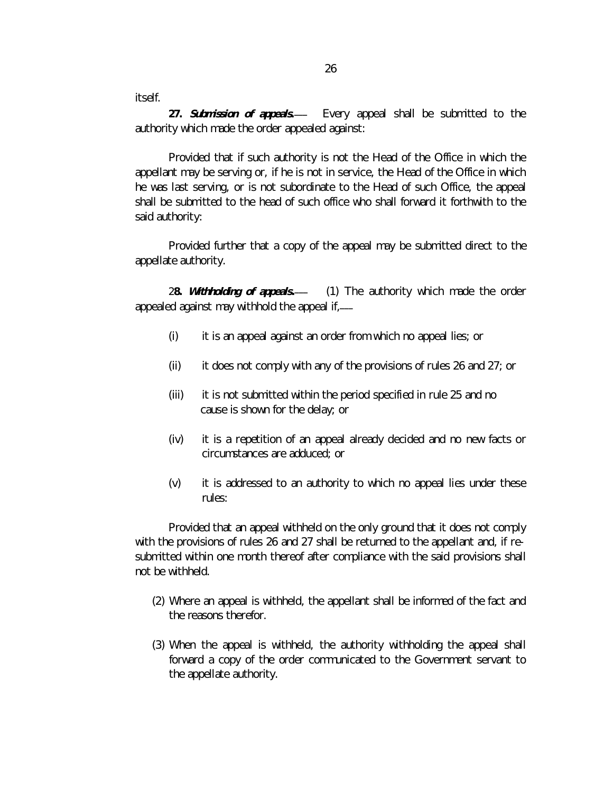itself.

**27.** *Submission of appeals.* Every appeal shall be submitted to the authority which made the order appealed against:

Provided that if such authority is not the Head of the Office in which the appellant may be serving or, if he is not in service, the Head of the Office in which he was last serving, or is not subordinate to the Head of such Office, the appeal shall be submitted to the head of such office who shall forward it forthwith to the said authority:

Provided further that a copy of the appeal may be submitted direct to the appellate authority.

2**8.** *Withholding of appeals. \_\_\_* (1) The authority which made the order appealed against may withhold the appeal if,*\_\_\_*

- (i) it is an appeal against an order from which no appeal lies; or
- (ii) it does not comply with any of the provisions of rules 26 and 27; or
- (iii) it is not submitted within the period specified in rule 25 and no cause is shown for the delay; or
- (iv) it is a repetition of an appeal already decided and no new facts or circumstances are adduced; or
- (v) it is addressed to an authority to which no appeal lies under these rules:

Provided that an appeal withheld on the only ground that it does not comply with the provisions of rules 26 and 27 shall be returned to the appellant and, if resubmitted within one month thereof after compliance with the said provisions shall not be withheld.

- (2) Where an appeal is withheld, the appellant shall be informed of the fact and the reasons therefor.
- (3) When the appeal is withheld, the authority withholding the appeal shall forward a copy of the order communicated to the Government servant to the appellate authority.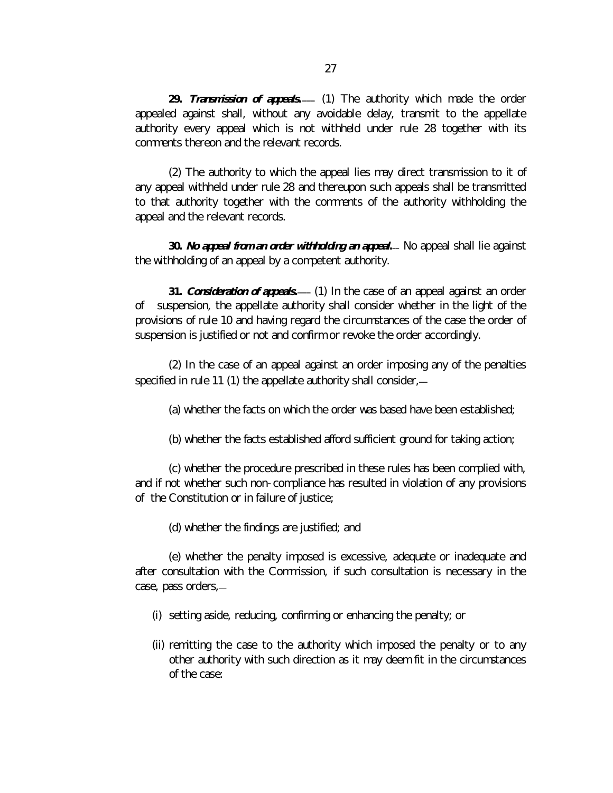**29.** *Transmission of appeals. \_\_\_* (1) The authority which made the order appealed against shall, without any avoidable delay, transmit to the appellate authority every appeal which is not withheld under rule 28 together with its comments thereon and the relevant records.

(2) The authority to which the appeal lies may direct transmission to it of any appeal withheld under rule 28 and thereupon such appeals shall be transmitted to that authority together with the comments of the authority withholding the appeal and the relevant records.

**30.** *No appeal from an order withholding an appeal. \_\_* No appeal shall lie against the withholding of an appeal by a competent authority.

**31.** *Consideration of appeals. \_\_\_* (1) In the case of an appeal against an order of suspension, the appellate authority shall consider whether in the light of the provisions of rule 10 and having regard the circumstances of the case the order of suspension is justified or not and confirm or revoke the order accordingly.

(2) In the case of an appeal against an order imposing any of the penalties specified in rule 11 (1) the appellate authority shall consider, *\_\_*

(a) whether the facts on which the order was based have been established;

(b) whether the facts established afford sufficient ground for taking action;

(c) whether the procedure prescribed in these rules has been complied with, and if not whether such non-compliance has resulted in violation of any provisions of the Constitution or in failure of justice;

(d) whether the findings are justified; and

(e) whether the penalty imposed is excessive, adequate or inadequate and after consultation with the Commission, if such consultation is necessary in the case, pass orders,*\_\_*

- (i) setting aside, reducing, confirming or enhancing the penalty; or
- (ii) remitting the case to the authority which imposed the penalty or to any other authority with such direction as it may deem fit in the circumstances of the case: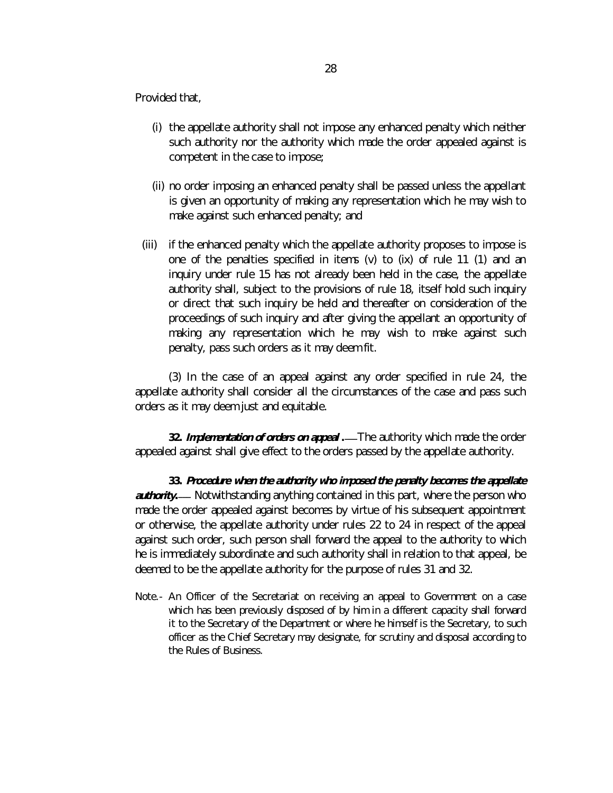Provided that,

- (i) the appellate authority shall not impose any enhanced penalty which neither such authority nor the authority which made the order appealed against is competent in the case to impose;
- (ii) no order imposing an enhanced penalty shall be passed unless the appellant is given an opportunity of making any representation which he may wish to make against such enhanced penalty; and
- (iii) if the enhanced penalty which the appellate authority proposes to impose is one of the penalties specified in items (v) to (ix) of rule 11 (1) and an inquiry under rule 15 has not already been held in the case, the appellate authority shall, subject to the provisions of rule 18, itself hold such inquiry or direct that such inquiry be held and thereafter on consideration of the proceedings of such inquiry and after giving the appellant an opportunity of making any representation which he may wish to make against such penalty, pass such orders as it may deem fit.

(3) In the case of an appeal against any order specified in rule 24, the appellate authority shall consider all the circumstances of the case and pass such orders as it may deem just and equitable.

**32.** *Implementation of orders on appeal . \_\_\_*The authority which made the order appealed against shall give effect to the orders passed by the appellate authority.

**33.** *Procedure when the authority who imposed the penalty becomes the appellate authority*. Notwithstanding anything contained in this part, where the person who made the order appealed against becomes by virtue of his subsequent appointment or otherwise, the appellate authority under rules 22 to 24 in respect of the appeal against such order, such person shall forward the appeal to the authority to which he is immediately subordinate and such authority shall in relation to that appeal, be deemed to be the appellate authority for the purpose of rules 31 and 32.

Note.- An Officer of the Secretariat on receiving an appeal to Government on a case which has been previously disposed of by him in a different capacity shall forward it to the Secretary of the Department or where he himself is the Secretary, to such officer as the Chief Secretary may designate, for scrutiny and disposal according to the Rules of Business.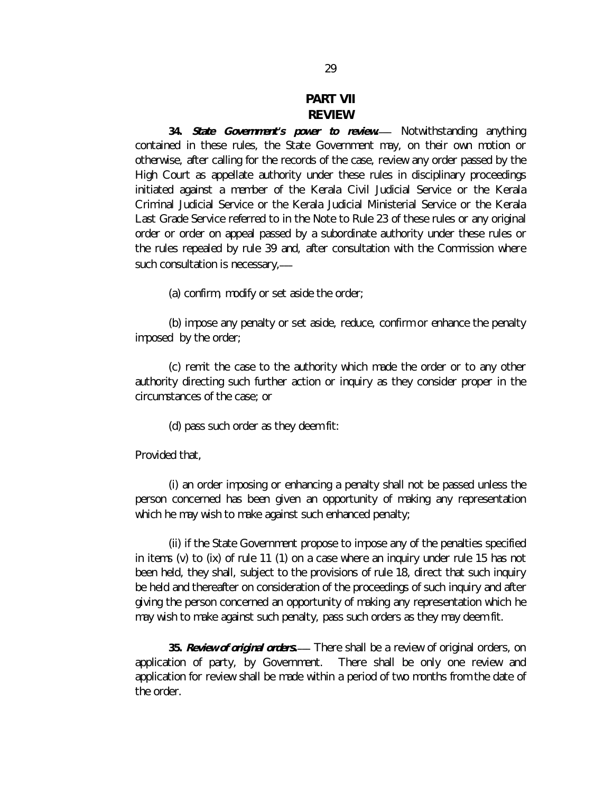# **PART VII REVIEW**

**34.** *State Government's power to review. \_\_\_* Notwithstanding anything contained in these rules, the State Government may, on their own motion or otherwise, after calling for the records of the case, review any order passed by the High Court as appellate authority under these rules in disciplinary proceedings initiated against a member of the Kerala Civil Judicial Service or the Kerala Criminal Judicial Service or the Kerala Judicial Ministerial Service or the Kerala Last Grade Service referred to in the Note to Rule 23 of these rules or any original order or order on appeal passed by a subordinate authority under these rules or the rules repealed by rule 39 and, after consultation with the Commission where such consultation is necessary*, \_\_\_*

(a) confirm, modify or set aside the order;

(b) impose any penalty or set aside, reduce, confirm or enhance the penalty imposed by the order;

(c) remit the case to the authority which made the order or to any other authority directing such further action or inquiry as they consider proper in the circumstances of the case; or

(d) pass such order as they deem fit:

Provided that,

(i) an order imposing or enhancing a penalty shall not be passed unless the person concerned has been given an opportunity of making any representation which he may wish to make against such enhanced penalty;

(ii) if the State Government propose to impose any of the penalties specified in items (v) to (ix) of rule 11 (1) on a case where an inquiry under rule 15 has not been held, they shall, subject to the provisions of rule 18, direct that such inquiry be held and thereafter on consideration of the proceedings of such inquiry and after giving the person concerned an opportunity of making any representation which he may wish to make against such penalty, pass such orders as they may deem fit.

**35.** *Review of original orders. \_\_\_* There shall be a review of original orders, on application of party, by Government. There shall be only one review and application for review shall be made within a period of two months from the date of the order.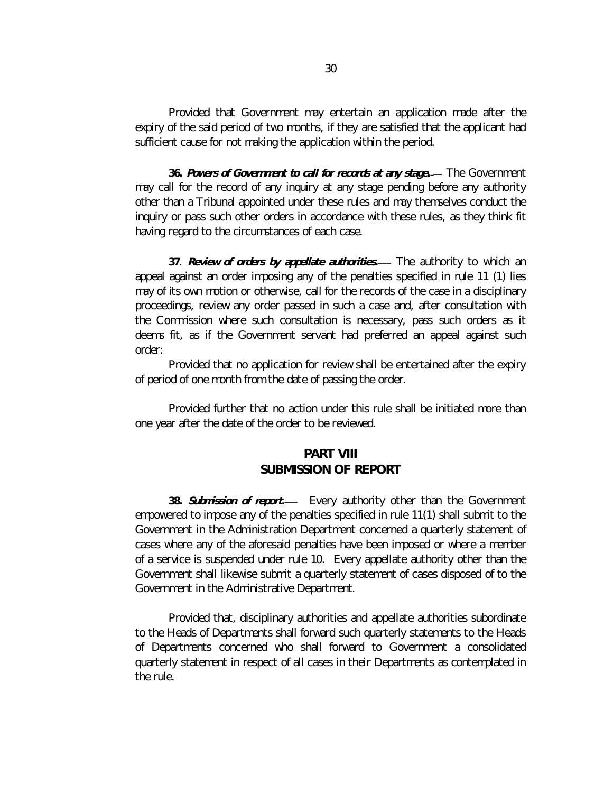Provided that Government may entertain an application made after the expiry of the said period of two months, if they are satisfied that the applicant had sufficient cause for not making the application within the period.

**36.** *Powers of Government to call for records at any stage. \_\_\_* The Government may call for the record of any inquiry at any stage pending before any authority other than a Tribunal appointed under these rules and may themselves conduct the inquiry or pass such other orders in accordance with these rules, as they think fit having regard to the circumstances of each case.

**37**. *Review of orders by appellate authorities. \_\_\_* The authority to which an appeal against an order imposing any of the penalties specified in rule 11 (1) lies may of its own motion or otherwise, call for the records of the case in a disciplinary proceedings, review any order passed in such a case and, after consultation with the Commission where such consultation is necessary, pass such orders as it deems fit, as if the Government servant had preferred an appeal against such order:

Provided that no application for review shall be entertained after the expiry of period of one month from the date of passing the order.

Provided further that no action under this rule shall be initiated more than one year after the date of the order to be reviewed.

# **PART VIII SUBMISSION OF REPORT**

38. **Submission of report.** Every authority other than the Government empowered to impose any of the penalties specified in rule 11(1) shall submit to the Government in the Administration Department concerned a quarterly statement of cases where any of the aforesaid penalties have been imposed or where a member of a service is suspended under rule 10. Every appellate authority other than the Government shall likewise submit a quarterly statement of cases disposed of to the Government in the Administrative Department.

Provided that, disciplinary authorities and appellate authorities subordinate to the Heads of Departments shall forward such quarterly statements to the Heads of Departments concerned who shall forward to Government a consolidated quarterly statement in respect of all cases in their Departments as contemplated in the rule.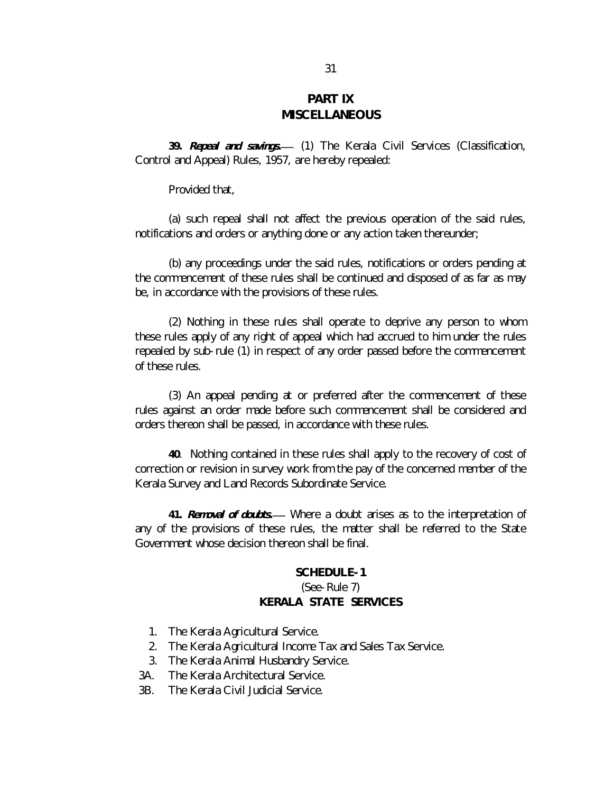# **PART IX MISCELLANEOUS**

**39.** *Repeal and savings***.** *\_\_\_* (1) The Kerala Civil Services (Classification, Control and Appeal) Rules, 1957, are hereby repealed:

Provided that,

(a) such repeal shall not affect the previous operation of the said rules, notifications and orders or anything done or any action taken thereunder;

(b) any proceedings under the said rules, notifications or orders pending at the commencement of these rules shall be continued and disposed of as far as may be, in accordance with the provisions of these rules.

(2) Nothing in these rules shall operate to deprive any person to whom these rules apply of any right of appeal which had accrued to him under the rules repealed by sub-rule (1) in respect of any order passed before the commencement of these rules.

(3) An appeal pending at or preferred after the commencement of these rules against an order made before such commencement shall be considered and orders thereon shall be passed, in accordance with these rules.

**40**. Nothing contained in these rules shall apply to the recovery of cost of correction or revision in survey work from the pay of the concerned member of the Kerala Survey and Land Records Subordinate Service.

**41.** *Removal of doubts***.** *\_\_\_* Where a doubt arises as to the interpretation of any of the provisions of these rules, the matter shall be referred to the State Government whose decision thereon shall be final.

#### **SCHEDULE-1**

#### *(See-Rule 7)* **KERALA STATE SERVICES**

- 1. The Kerala Agricultural Service.
- 2. The Kerala Agricultural Income Tax and Sales Tax Service.
- 3. The Kerala Animal Husbandry Service.
- 3A. The Kerala Architectural Service.
- 3B. The Kerala Civil Judicial Service.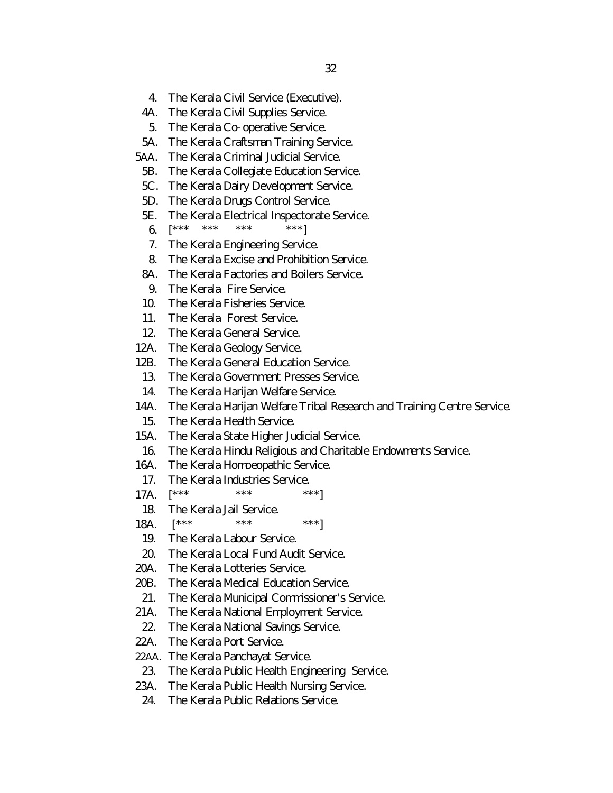- 4. The Kerala Civil Service (Executive).
- 4A. The Kerala Civil Supplies Service.
- 5. The Kerala Co-operative Service.
- 5A. The Kerala Craftsman Training Service.
- 5AA. The Kerala Criminal Judicial Service.
- 5B. The Kerala Collegiate Education Service.
- 5C. The Kerala Dairy Development Service.
- 5D. The Kerala Drugs Control Service.
- 5E. The Kerala Electrical Inspectorate Service.
- 6.  $\left[ \begin{matrix} \star \star \star & \star \star \star & \star \star \star & \star \star \star \end{matrix} \right]$
- 7. The Kerala Engineering Service.
- 8. The Kerala Excise and Prohibition Service.
- 8A. The Kerala Factories and Boilers Service.
- 9. The Kerala Fire Service.
- 10. The Kerala Fisheries Service.
- 11. The Kerala Forest Service.
- 12. The Kerala General Service.
- 12A. The Kerala Geology Service.
- 12B. The Kerala General Education Service.
- 13. The Kerala Government Presses Service.
- 14. The Kerala Harijan Welfare Service.
- 14A. The Kerala Harijan Welfare Tribal Research and Training Centre Service.
- 15. The Kerala Health Service.
- 15A. The Kerala State Higher Judicial Service.
- 16. The Kerala Hindu Religious and Charitable Endowments Service.
- 16A. The Kerala Homoeopathic Service.
- 17. The Kerala Industries Service.
- 17A.  $\left[ \begin{matrix} * & * & * & * \end{matrix} \right]$  \*\*\* \*\*\*]
- 18. The Kerala Jail Service.
- 18A.  $\begin{bmatrix} \star \star \star & \star \end{bmatrix} \star \star \star$  \*\*\*
- 19. The Kerala Labour Service.
- 20. The Kerala Local Fund Audit Service.
- 20A. The Kerala Lotteries Service.
- 20B. The Kerala Medical Education Service.
- 21. The Kerala Municipal Commissioner's Service.
- 21A. The Kerala National Employment Service.
- 22. The Kerala National Savings Service.
- 22A. The Kerala Port Service.
- 22AA. The Kerala Panchayat Service.
- 23. The Kerala Public Health Engineering Service.
- 23A. The Kerala Public Health Nursing Service.
- 24. The Kerala Public Relations Service.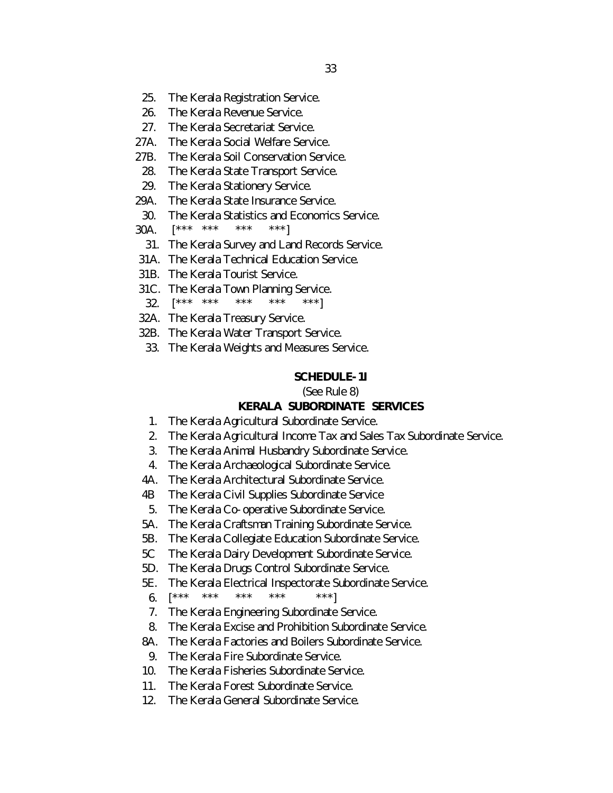- 25. The Kerala Registration Service.
- 26. The Kerala Revenue Service.
- 27. The Kerala Secretariat Service.
- 27A. The Kerala Social Welfare Service.
- 27B. The Kerala Soil Conservation Service.
- 28. The Kerala State Transport Service.
- 29. The Kerala Stationery Service.
- 29A. The Kerala State Insurance Service.
- 30. The Kerala Statistics and Economics Service.
- 30A. [\*\*\* \*\*\* \*\*\* \*\*\*]
- 31. The Kerala Survey and Land Records Service.
- 31A. The Kerala Technical Education Service.
- 31B. The Kerala Tourist Service.
- 31C. The Kerala Town Planning Service.
- 32. [\*\*\* \*\*\* \*\*\* \*\*\* \*\*\*]
- 32A. The Kerala Treasury Service.
- 32B. The Kerala Water Transport Service.
- 33. The Kerala Weights and Measures Service.

#### **SCHEDULE-1I**

*(See Rule 8)*

#### **KERALA SUBORDINATE SERVICES**

- 1. The Kerala Agricultural Subordinate Service.
- 2. The Kerala Agricultural Income Tax and Sales Tax Subordinate Service.
- 3. The Kerala Animal Husbandry Subordinate Service.
- 4. The Kerala Archaeological Subordinate Service.
- 4A. The Kerala Architectural Subordinate Service.
- 4B The Kerala Civil Supplies Subordinate Service
- 5. The Kerala Co-operative Subordinate Service.
- 5A. The Kerala Craftsman Training Subordinate Service.
- 5B. The Kerala Collegiate Education Subordinate Service.
- 5C The Kerala Dairy Development Subordinate Service.
- 5D. The Kerala Drugs Control Subordinate Service.
- 5E. The Kerala Electrical Inspectorate Subordinate Service.
- 6.  $\begin{bmatrix} \star \star \star & \star \star \star & \star \star \star & \star \star \star & \star \star \star \end{bmatrix}$
- 7. The Kerala Engineering Subordinate Service.
- 8. The Kerala Excise and Prohibition Subordinate Service.
- 8A. The Kerala Factories and Boilers Subordinate Service.
- 9. The Kerala Fire Subordinate Service.
- 10. The Kerala Fisheries Subordinate Service.
- 11. The Kerala Forest Subordinate Service.
- 12. The Kerala General Subordinate Service.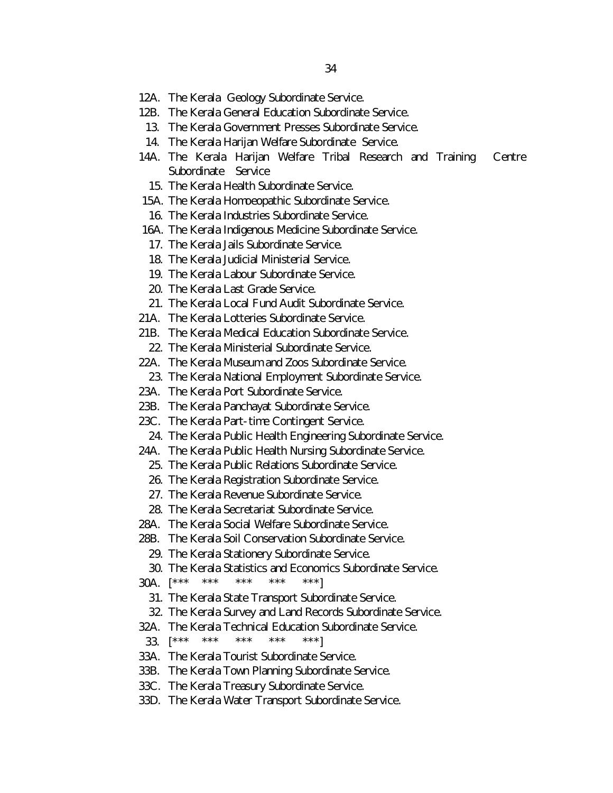- 12A. The Kerala Geology Subordinate Service.
- 12B. The Kerala General Education Subordinate Service.
- 13. The Kerala Government Presses Subordinate Service.
- 14. The Kerala Harijan Welfare Subordinate Service.
- 14A. The Kerala Harijan Welfare Tribal Research and Training Centre Subordinate Service
	- 15. The Kerala Health Subordinate Service.
- 15A. The Kerala Homoeopathic Subordinate Service.
	- 16. The Kerala Industries Subordinate Service.
- 16A. The Kerala Indigenous Medicine Subordinate Service.
- 17. The Kerala Jails Subordinate Service.
- 18. The Kerala Judicial Ministerial Service.
- 19. The Kerala Labour Subordinate Service.
- 20. The Kerala Last Grade Service.
- 21. The Kerala Local Fund Audit Subordinate Service.
- 21A. The Kerala Lotteries Subordinate Service.
- 21B. The Kerala Medical Education Subordinate Service.
	- 22. The Kerala Ministerial Subordinate Service.
- 22A. The Kerala Museum and Zoos Subordinate Service.
- 23. The Kerala National Employment Subordinate Service.
- 23A. The Kerala Port Subordinate Service.
- 23B. The Kerala Panchayat Subordinate Service.
- 23C. The Kerala Part-time Contingent Service.
	- 24. The Kerala Public Health Engineering Subordinate Service.
- 24A. The Kerala Public Health Nursing Subordinate Service.
	- 25. The Kerala Public Relations Subordinate Service.
	- 26. The Kerala Registration Subordinate Service.
	- 27. The Kerala Revenue Subordinate Service.
- 28. The Kerala Secretariat Subordinate Service.
- 28A. The Kerala Social Welfare Subordinate Service.
- 28B. The Kerala Soil Conservation Subordinate Service.
	- 29. The Kerala Stationery Subordinate Service.
- 30. The Kerala Statistics and Economics Subordinate Service.
- 30A.  $\begin{bmatrix} \star \star \star & \star \star \star & \star \star \star & \star \star \star & \star \star \star \end{bmatrix}$ 
	- 31. The Kerala State Transport Subordinate Service.
	- 32. The Kerala Survey and Land Records Subordinate Service.
- 32A. The Kerala Technical Education Subordinate Service.
- 33. [\*\*\* \*\*\* \*\*\* \*\*\* \*\*\*]
- 33A. The Kerala Tourist Subordinate Service.
- 33B. The Kerala Town Planning Subordinate Service.
- 33C. The Kerala Treasury Subordinate Service.
- 33D. The Kerala Water Transport Subordinate Service.